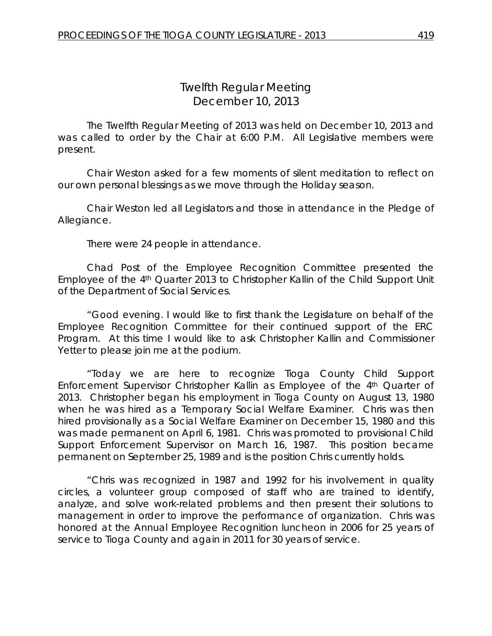# *Twelfth Regular Meeting* December 10, 2013

The Twelfth Regular Meeting of 2013 was held on December 10, 2013 and was called to order by the Chair at 6:00 P.M. All Legislative members were present.

Chair Weston asked for a few moments of silent meditation to reflect on our own personal blessings as we move through the Holiday season.

Chair Weston led all Legislators and those in attendance in the Pledge of Allegiance.

There were 24 people in attendance.

Chad Post of the Employee Recognition Committee presented the Employee of the 4th Quarter 2013 to Christopher Kallin of the Child Support Unit of the Department of Social Services.

"Good evening. I would like to first thank the Legislature on behalf of the Employee Recognition Committee for their continued support of the ERC Program. At this time I would like to ask Christopher Kallin and Commissioner Yetter to please join me at the podium.

"Today we are here to recognize Tioga County Child Support Enforcement Supervisor Christopher Kallin as Employee of the 4th Quarter of 2013. Christopher began his employment in Tioga County on August 13, 1980 when he was hired as a Temporary Social Welfare Examiner. Chris was then hired provisionally as a Social Welfare Examiner on December 15, 1980 and this was made permanent on April 6, 1981. Chris was promoted to provisional Child Support Enforcement Supervisor on March 16, 1987. This position became permanent on September 25, 1989 and is the position Chris currently holds.

"Chris was recognized in 1987 and 1992 for his involvement in quality circles, a volunteer group composed of staff who are trained to identify, analyze, and solve work-related problems and then present their solutions to management in order to improve the performance of organization. Chris was honored at the Annual Employee Recognition luncheon in 2006 for 25 years of service to Tioga County and again in 2011 for 30 years of service.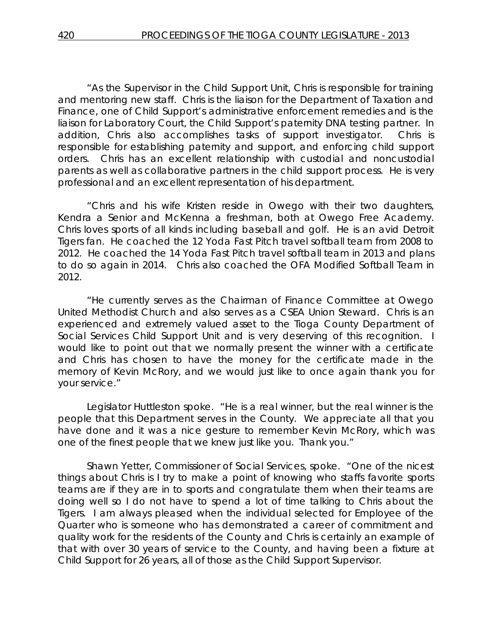"As the Supervisor in the Child Support Unit, Chris is responsible for training and mentoring new staff. Chris is the liaison for the Department of Taxation and Finance, one of Child Support's administrative enforcement remedies and is the liaison for Laboratory Court, the Child Support's paternity DNA testing partner. In addition, Chris also accomplishes tasks of support investigator. Chris is responsible for establishing paternity and support, and enforcing child support orders. Chris has an excellent relationship with custodial and noncustodial parents as well as collaborative partners in the child support process. He is very professional and an excellent representation of his department.

"Chris and his wife Kristen reside in Owego with their two daughters, Kendra a Senior and McKenna a freshman, both at Owego Free Academy. Chris loves sports of all kinds including baseball and golf. He is an avid Detroit Tigers fan. He coached the 12 Yoda Fast Pitch travel softball team from 2008 to 2012. He coached the 14 Yoda Fast Pitch travel softball team in 2013 and plans to do so again in 2014. Chris also coached the OFA Modified Softball Team in 2012.

"He currently serves as the Chairman of Finance Committee at Owego United Methodist Church and also serves as a CSEA Union Steward. Chris is an experienced and extremely valued asset to the Tioga County Department of Social Services Child Support Unit and is very deserving of this recognition. I would like to point out that we normally present the winner with a certificate and Chris has chosen to have the money for the certificate made in the memory of Kevin McRory, and we would just like to once again thank you for your service."

Legislator Huttleston spoke. "He is a real winner, but the real winner is the people that this Department serves in the County. We appreciate all that you have done and it was a nice gesture to remember Kevin McRory, which was one of the finest people that we knew just like you. Thank you."

Shawn Yetter, Commissioner of Social Services, spoke. "One of the nicest things about Chris is I try to make a point of knowing who staffs favorite sports teams are if they are in to sports and congratulate them when their teams are doing well so I do not have to spend a lot of time talking to Chris about the Tigers. I am always pleased when the individual selected for Employee of the Quarter who is someone who has demonstrated a career of commitment and quality work for the residents of the County and Chris is certainly an example of that with over 30 years of service to the County, and having been a fixture at Child Support for 26 years, all of those as the Child Support Supervisor.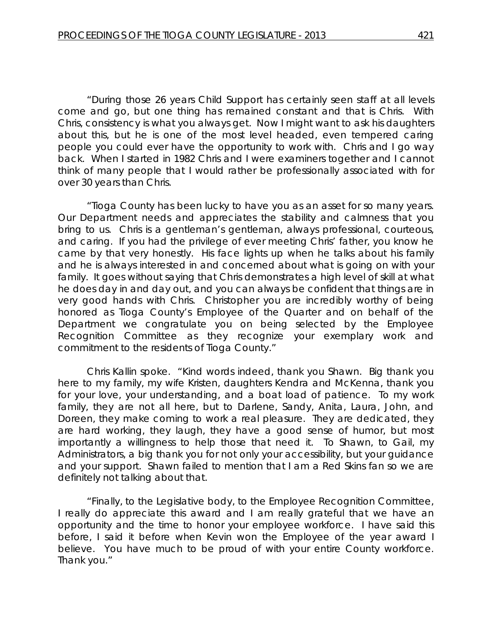"During those 26 years Child Support has certainly seen staff at all levels come and go, but one thing has remained constant and that is Chris. With Chris, consistency is what you always get. Now I might want to ask his daughters about this, but he is one of the most level headed, even tempered caring people you could ever have the opportunity to work with. Chris and I go way back. When I started in 1982 Chris and I were examiners together and I cannot think of many people that I would rather be professionally associated with for over 30 years than Chris.

"Tioga County has been lucky to have you as an asset for so many years. Our Department needs and appreciates the stability and calmness that you bring to us. Chris is a gentleman's gentleman, always professional, courteous, and caring. If you had the privilege of ever meeting Chris' father, you know he came by that very honestly. His face lights up when he talks about his family and he is always interested in and concerned about what is going on with your family. It goes without saying that Chris demonstrates a high level of skill at what he does day in and day out, and you can always be confident that things are in very good hands with Chris. Christopher you are incredibly worthy of being honored as Tioga County's Employee of the Quarter and on behalf of the Department we congratulate you on being selected by the Employee Recognition Committee as they recognize your exemplary work and commitment to the residents of Tioga County."

Chris Kallin spoke. "Kind words indeed, thank you Shawn. Big thank you here to my family, my wife Kristen, daughters Kendra and McKenna, thank you for your love, your understanding, and a boat load of patience. To my work family, they are not all here, but to Darlene, Sandy, Anita, Laura, John, and Doreen, they make coming to work a real pleasure. They are dedicated, they are hard working, they laugh, they have a good sense of humor, but most importantly a willingness to help those that need it. To Shawn, to Gail, my Administrators, a big thank you for not only your accessibility, but your guidance and your support. Shawn failed to mention that I am a Red Skins fan so we are definitely not talking about that.

"Finally, to the Legislative body, to the Employee Recognition Committee, I really do appreciate this award and I am really grateful that we have an opportunity and the time to honor your employee workforce. I have said this before, I said it before when Kevin won the Employee of the year award I believe. You have much to be proud of with your entire County workforce. Thank you."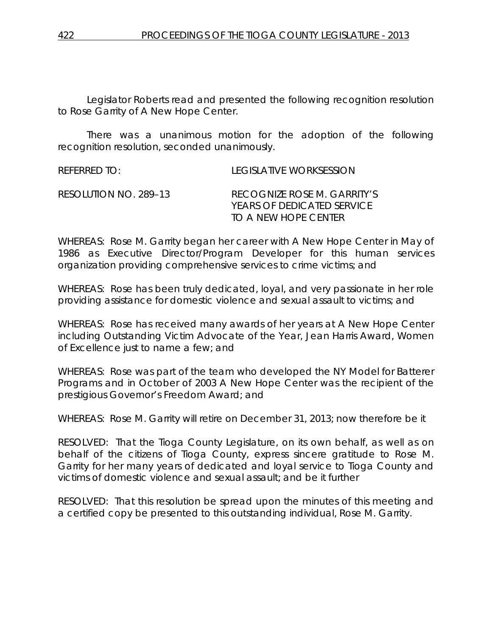Legislator Roberts read and presented the following recognition resolution to Rose Garrity of A New Hope Center.

There was a unanimous motion for the adoption of the following recognition resolution, seconded unanimously.

| REFERRED TO:          | LEGISLATIVE WORKSESSION                                                           |
|-----------------------|-----------------------------------------------------------------------------------|
| RESOLUTION NO. 289–13 | RECOGNIZE ROSE M. GARRITY'S<br>YEARS OF DEDICATED SERVICE<br>TO A NEW HOPE CENTER |

WHEREAS: Rose M. Garrity began her career with A New Hope Center in May of 1986 as Executive Director/Program Developer for this human services organization providing comprehensive services to crime victims; and

WHEREAS: Rose has been truly dedicated, loyal, and very passionate in her role providing assistance for domestic violence and sexual assault to victims; and

WHEREAS: Rose has received many awards of her years at A New Hope Center including Outstanding Victim Advocate of the Year, Jean Harris Award, Women of Excellence just to name a few; and

WHEREAS: Rose was part of the team who developed the NY Model for Batterer Programs and in October of 2003 A New Hope Center was the recipient of the prestigious Governor's Freedom Award; and

WHEREAS: Rose M. Garrity will retire on December 31, 2013; now therefore be it

RESOLVED:That the Tioga County Legislature, on its own behalf, as well as on behalf of the citizens of Tioga County, express sincere gratitude to Rose M. Garrity for her many years of dedicated and loyal service to Tioga County and victims of domestic violence and sexual assault; and be it further

RESOLVED: That this resolution be spread upon the minutes of this meeting and a certified copy be presented to this outstanding individual, Rose M. Garrity.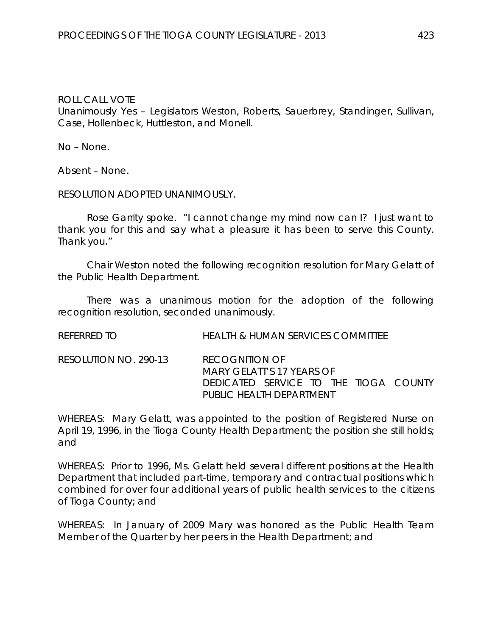#### ROLL CALL VOTE

Unanimously Yes – Legislators Weston, Roberts, Sauerbrey, Standinger, Sullivan, Case, Hollenbeck, Huttleston, and Monell.

No – None.

Absent – None.

RESOLUTION ADOPTED UNANIMOUSLY.

Rose Garrity spoke. "I cannot change my mind now can I? I just want to thank you for this and say what a pleasure it has been to serve this County. Thank you."

Chair Weston noted the following recognition resolution for Mary Gelatt of the Public Health Department.

There was a unanimous motion for the adoption of the following recognition resolution, seconded unanimously.

REFERRED TO HEALTH & HUMAN SERVICES COMMITTEE

RESOLUTION NO. 290-13 *RECOGNITION OF MARY GELATT'S 17 YEARS OF DEDICATED SERVICE TO THE TIOGA COUNTY PUBLIC HEALTH DEPARTMENT*

WHEREAS: Mary Gelatt, was appointed to the position of Registered Nurse on April 19, 1996, in the Tioga County Health Department; the position she still holds; and

WHEREAS: Prior to 1996, Ms. Gelatt held several different positions at the Health Department that included part-time, temporary and contractual positions which combined for over four additional years of public health services to the citizens of Tioga County; and

WHEREAS: In January of 2009 Mary was honored as the Public Health Team Member of the Quarter by her peers in the Health Department; and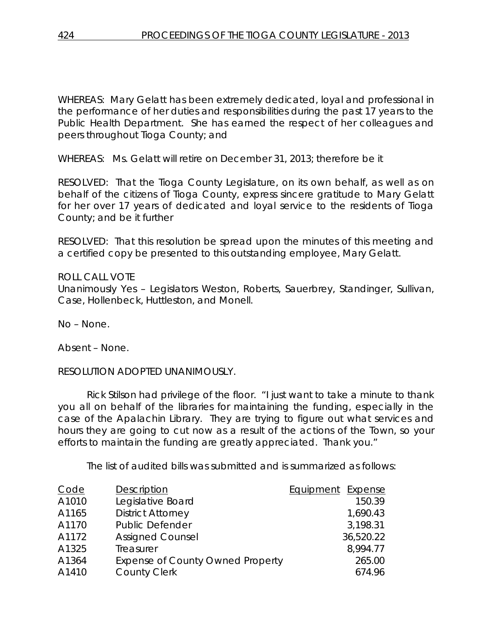WHEREAS: Mary Gelatt has been extremely dedicated, loyal and professional in the performance of her duties and responsibilities during the past 17 years to the Public Health Department. She has earned the respect of her colleagues and peers throughout Tioga County; and

WHEREAS: Ms. Gelatt will retire on December 31, 2013; therefore be it

RESOLVED: That the Tioga County Legislature, on its own behalf, as well as on behalf of the citizens of Tioga County, express sincere gratitude to Mary Gelatt for her over 17 years of dedicated and loyal service to the residents of Tioga County; and be it further

RESOLVED: That this resolution be spread upon the minutes of this meeting and a certified copy be presented to this outstanding employee, Mary Gelatt.

#### ROLL CALL VOTE

Unanimously Yes – Legislators Weston, Roberts, Sauerbrey, Standinger, Sullivan, Case, Hollenbeck, Huttleston, and Monell.

No – None.

Absent – None.

RESOLUTION ADOPTED UNANIMOUSLY.

Rick Stilson had privilege of the floor. "I just want to take a minute to thank you all on behalf of the libraries for maintaining the funding, especially in the case of the Apalachin Library. They are trying to figure out what services and hours they are going to cut now as a result of the actions of the Town, so your efforts to maintain the funding are greatly appreciated. Thank you."

The list of audited bills was submitted and is summarized as follows:

| Code  | <b>Description</b>                      | Equipment Expense |
|-------|-----------------------------------------|-------------------|
| A1010 | Legislative Board                       | 150.39            |
| A1165 | <b>District Attorney</b>                | 1,690.43          |
| A1170 | <b>Public Defender</b>                  | 3,198.31          |
| A1172 | <b>Assigned Counsel</b>                 | 36,520.22         |
| A1325 | Treasurer                               | 8,994.77          |
| A1364 | <b>Expense of County Owned Property</b> | 265.00            |
| A1410 | <b>County Clerk</b>                     | 674.96            |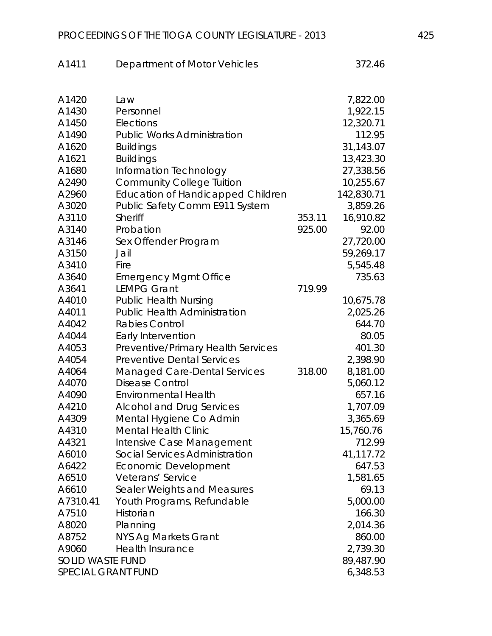| A1411                   | Department of Motor Vehicles             |        | 372.46     |
|-------------------------|------------------------------------------|--------|------------|
|                         |                                          |        |            |
| A1420                   | Law                                      |        | 7,822.00   |
| A1430                   | Personnel                                |        | 1,922.15   |
| A1450                   | Elections                                |        | 12,320.71  |
| A1490                   | <b>Public Works Administration</b>       |        | 112.95     |
| A1620                   | <b>Buildings</b>                         |        | 31,143.07  |
| A1621                   | <b>Buildings</b>                         |        | 13,423.30  |
| A1680                   | Information Technology                   |        | 27,338.56  |
| A2490                   | <b>Community College Tuition</b>         |        | 10,255.67  |
| A2960                   | <b>Education of Handicapped Children</b> |        | 142,830.71 |
| A3020                   | Public Safety Comm E911 System           |        | 3,859.26   |
| A3110                   | <b>Sheriff</b>                           | 353.11 | 16,910.82  |
| A3140                   | Probation                                | 925.00 | 92.00      |
| A3146                   | Sex Offender Program                     |        | 27,720.00  |
| A3150                   | Jail                                     |        | 59,269.17  |
| A3410                   | Fire                                     |        | 5,545.48   |
| A3640                   | <b>Emergency Mgmt Office</b>             |        | 735.63     |
| A3641                   | <b>LEMPG Grant</b>                       | 719.99 |            |
| A4010                   | <b>Public Health Nursing</b>             |        | 10,675.78  |
| A4011                   | <b>Public Health Administration</b>      |        | 2,025.26   |
| A4042                   | <b>Rabies Control</b>                    |        | 644.70     |
| A4044                   | Early Intervention                       |        | 80.05      |
| A4053                   | Preventive/Primary Health Services       |        | 401.30     |
| A4054                   | <b>Preventive Dental Services</b>        |        | 2,398.90   |
| A4064                   | <b>Managed Care-Dental Services</b>      | 318.00 | 8,181.00   |
| A4070                   | <b>Disease Control</b>                   |        | 5,060.12   |
| A4090                   | <b>Environmental Health</b>              |        | 657.16     |
| A4210                   | <b>Alcohol and Drug Services</b>         |        | 1,707.09   |
| A4309                   | Mental Hygiene Co Admin                  |        | 3,365.69   |
| A4310                   | <b>Mental Health Clinic</b>              |        | 15,760.76  |
| A4321                   | Intensive Case Management                |        | 712.99     |
| A6010                   | Social Services Administration           |        | 41,117.72  |
| A6422                   | Economic Development                     |        | 647.53     |
| A6510                   | Veterans' Service                        |        | 1,581.65   |
| A6610                   | Sealer Weights and Measures              |        | 69.13      |
| A7310.41                | Youth Programs, Refundable               |        | 5,000.00   |
| A7510                   | Historian                                |        | 166.30     |
| A8020                   | Planning                                 |        | 2,014.36   |
| A8752                   | <b>NYS Ag Markets Grant</b>              |        | 860.00     |
| A9060                   | Health Insurance                         |        | 2,739.30   |
| <b>SOLID WASTE FUND</b> |                                          |        | 89,487.90  |
| SPECIAL GRANT FUND      |                                          |        | 6,348.53   |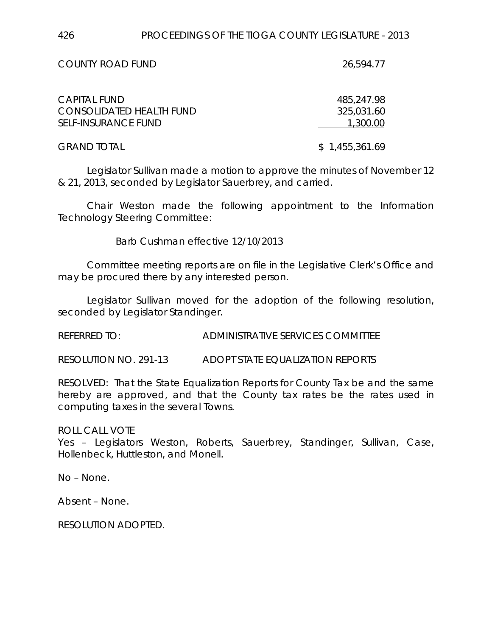| <b>COUNTY ROAD FUND</b>                                                              | 26,594.77                            |
|--------------------------------------------------------------------------------------|--------------------------------------|
| <b>CAPITAL FUND</b><br><b>CONSOLIDATED HEALTH FUND</b><br><b>SELF-INSURANCE FUND</b> | 485,247.98<br>325,031.60<br>1,300.00 |
| <b>GRAND TOTAL</b>                                                                   | \$1,455,361.69                       |

Legislator Sullivan made a motion to approve the minutes of November 12 & 21, 2013, seconded by Legislator Sauerbrey, and carried.

Chair Weston made the following appointment to the Information Technology Steering Committee:

Barb Cushman effective 12/10/2013

Committee meeting reports are on file in the Legislative Clerk's Office and may be procured there by any interested person.

Legislator Sullivan moved for the adoption of the following resolution, seconded by Legislator Standinger.

REFERRED TO: ADMINISTRATIVE SERVICES COMMITTEE

RESOLUTION NO. 291-13 *ADOPT STATE EQUALIZATION REPORTS*

RESOLVED: That the State Equalization Reports for County Tax be and the same hereby are approved, and that the County tax rates be the rates used in computing taxes in the several Towns.

ROLL CALL VOTE

Yes – Legislators Weston, Roberts, Sauerbrey, Standinger, Sullivan, Case, Hollenbeck, Huttleston, and Monell.

No – None.

Absent – None.

RESOLUTION ADOPTED.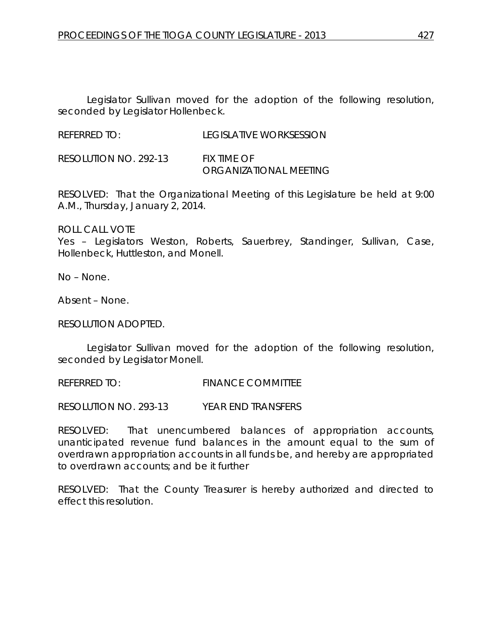Legislator Sullivan moved for the adoption of the following resolution, seconded by Legislator Hollenbeck.

REFERRED TO: LEGISLATIVE WORKSESSION

RESOLUTION NO. 292-13 *FIX TIME OF ORGANIZATIONAL MEETING*

RESOLVED: That the Organizational Meeting of this Legislature be held at 9:00 A.M., Thursday, January 2, 2014.

ROLL CALL VOTE Yes – Legislators Weston, Roberts, Sauerbrey, Standinger, Sullivan, Case, Hollenbeck, Huttleston, and Monell.

No – None.

Absent – None.

RESOLUTION ADOPTED.

Legislator Sullivan moved for the adoption of the following resolution, seconded by Legislator Monell.

REFERRED TO: FINANCE COMMITTEE

RESOLUTION NO. 293-13 *YEAR END TRANSFERS*

RESOLVED: That unencumbered balances of appropriation accounts, unanticipated revenue fund balances in the amount equal to the sum of overdrawn appropriation accounts in all funds be, and hereby are appropriated to overdrawn accounts; and be it further

RESOLVED: That the County Treasurer is hereby authorized and directed to effect this resolution.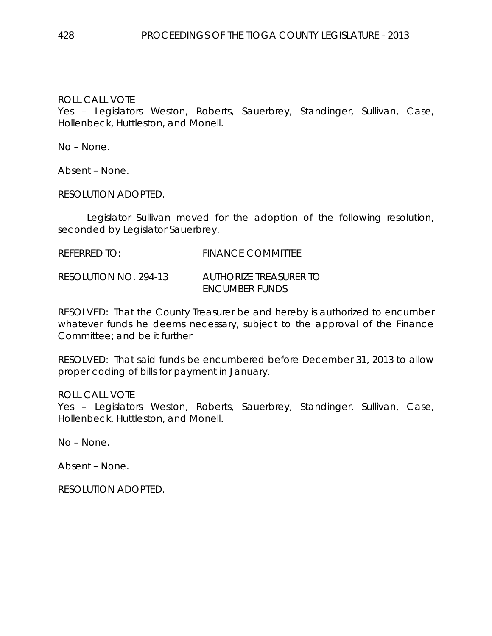ROLL CALL VOTE

Yes – Legislators Weston, Roberts, Sauerbrey, Standinger, Sullivan, Case, Hollenbeck, Huttleston, and Monell.

No – None.

Absent – None.

RESOLUTION ADOPTED.

Legislator Sullivan moved for the adoption of the following resolution, seconded by Legislator Sauerbrey.

REFERRED TO: FINANCE COMMITTEE

RESOLUTION NO. 294-13 *AUTHORIZE TREASURER TO ENCUMBER FUNDS*

RESOLVED: That the County Treasurer be and hereby is authorized to encumber whatever funds he deems necessary, subject to the approval of the Finance Committee; and be it further

RESOLVED: That said funds be encumbered before December 31, 2013 to allow proper coding of bills for payment in January.

ROLL CALL VOTE

Yes – Legislators Weston, Roberts, Sauerbrey, Standinger, Sullivan, Case, Hollenbeck, Huttleston, and Monell.

No – None.

Absent – None.

RESOLUTION ADOPTED.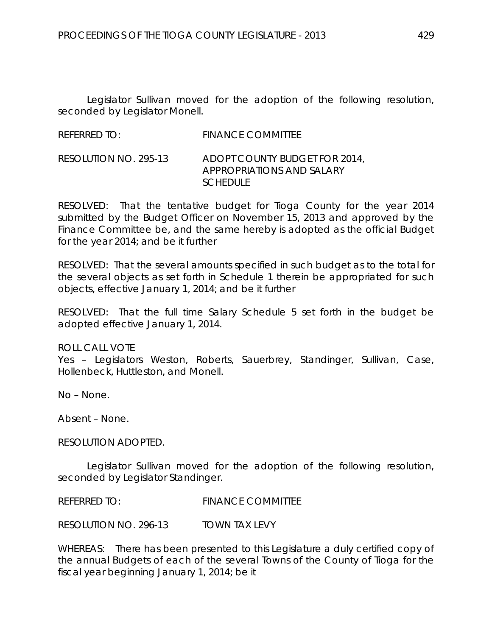Legislator Sullivan moved for the adoption of the following resolution, seconded by Legislator Monell.

| <b>REFERRED TO:</b> | <b>FINANCE COMMITTEE</b> |
|---------------------|--------------------------|
|                     |                          |

#### RESOLUTION NO. 295-13 *ADOPT COUNTY BUDGET FOR 2014, APPROPRIATIONS AND SALARY SCHEDULE*

RESOLVED: That the tentative budget for Tioga County for the year 2014 submitted by the Budget Officer on November 15, 2013 and approved by the Finance Committee be, and the same hereby is adopted as the official Budget for the year 2014; and be it further

RESOLVED: That the several amounts specified in such budget as to the total for the several objects as set forth in Schedule 1 therein be appropriated for such objects, effective January 1, 2014; and be it further

RESOLVED: That the full time Salary Schedule 5 set forth in the budget be adopted effective January 1, 2014.

ROLL CALL VOTE

Yes – Legislators Weston, Roberts, Sauerbrey, Standinger, Sullivan, Case, Hollenbeck, Huttleston, and Monell.

No – None.

Absent – None.

RESOLUTION ADOPTED.

Legislator Sullivan moved for the adoption of the following resolution, seconded by Legislator Standinger.

REFERRED TO: FINANCE COMMITTEE

RESOLUTION NO. 296-13 *TOWN TAX LEVY*

WHEREAS: There has been presented to this Legislature a duly certified copy of the annual Budgets of each of the several Towns of the County of Tioga for the fiscal year beginning January 1, 2014; be it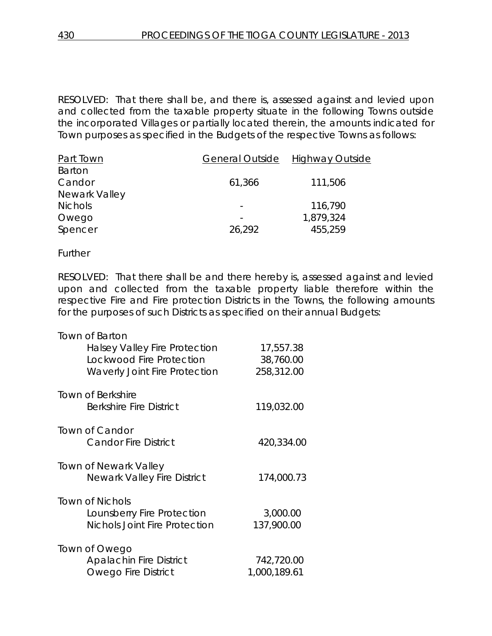RESOLVED: That there shall be, and there is, assessed against and levied upon and collected from the taxable property situate in the following Towns outside the incorporated Villages or partially located therein, the amounts indicated for Town purposes as specified in the Budgets of the respective Towns as follows:

| <b>General Outside</b> | <b>Highway Outside</b> |
|------------------------|------------------------|
|                        |                        |
| 61,366                 | 111,506                |
|                        |                        |
|                        | 116,790                |
|                        | 1,879,324              |
| 26,292                 | 455,259                |
|                        |                        |

Further

RESOLVED: That there shall be and there hereby is, assessed against and levied upon and collected from the taxable property liable therefore within the respective Fire and Fire protection Districts in the Towns, the following amounts for the purposes of such Districts as specified on their annual Budgets:

| <b>Town of Barton</b>                |              |
|--------------------------------------|--------------|
| <b>Halsey Valley Fire Protection</b> | 17,557.38    |
| Lockwood Fire Protection             | 38,760.00    |
| <b>Waverly Joint Fire Protection</b> | 258,312.00   |
| <b>Town of Berkshire</b>             |              |
| <b>Berkshire Fire District</b>       | 119,032.00   |
| Town of Candor                       |              |
| <b>Candor Fire District</b>          | 420,334.00   |
| Town of Newark Valley                |              |
| <b>Newark Valley Fire District</b>   | 174,000.73   |
| <b>Town of Nichols</b>               |              |
| Lounsberry Fire Protection           | 3,000.00     |
| <b>Nichols Joint Fire Protection</b> | 137,900.00   |
| Town of Owego                        |              |
| <b>Apalachin Fire District</b>       | 742,720.00   |
| <b>Owego Fire District</b>           | 1,000,189.61 |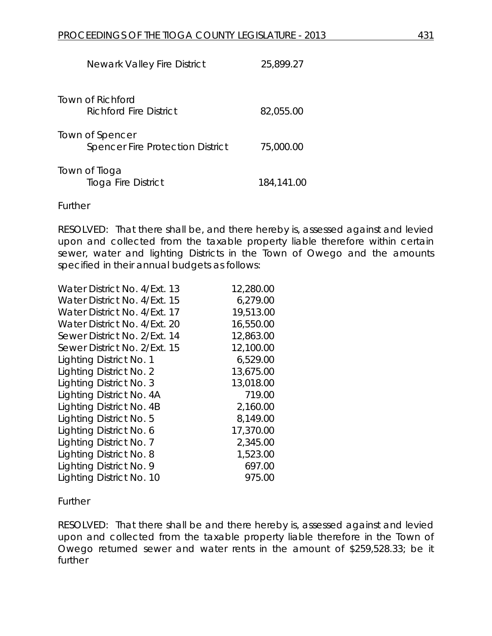| <b>Newark Valley Fire District</b>                         | 25,899.27  |
|------------------------------------------------------------|------------|
| Town of Richford<br>Richford Fire District                 | 82,055.00  |
| Town of Spencer<br><b>Spencer Fire Protection District</b> | 75,000.00  |
| Town of Tioga<br>Tioga Fire District                       | 184,141.00 |

**Further** 

RESOLVED: That there shall be, and there hereby is, assessed against and levied upon and collected from the taxable property liable therefore within certain sewer, water and lighting Districts in the Town of Owego and the amounts specified in their annual budgets as follows:

| Water District No. 4/Ext. 13 | 12,280.00 |
|------------------------------|-----------|
| Water District No. 4/Ext. 15 | 6,279.00  |
| Water District No. 4/Ext. 17 | 19,513.00 |
| Water District No. 4/Ext. 20 | 16,550.00 |
| Sewer District No. 2/Ext. 14 | 12,863.00 |
| Sewer District No. 2/Ext. 15 | 12,100.00 |
| Lighting District No. 1      | 6,529.00  |
| Lighting District No. 2      | 13,675.00 |
| Lighting District No. 3      | 13,018.00 |
| Lighting District No. 4A     | 719.00    |
| Lighting District No. 4B     | 2,160.00  |
| Lighting District No. 5      | 8,149.00  |
| Lighting District No. 6      | 17,370.00 |
| Lighting District No. 7      | 2,345.00  |
| Lighting District No. 8      | 1,523.00  |
| Lighting District No. 9      | 697.00    |
| Lighting District No. 10     | 975.00    |

**Further** 

RESOLVED: That there shall be and there hereby is, assessed against and levied upon and collected from the taxable property liable therefore in the Town of Owego returned sewer and water rents in the amount of \$259,528.33; be it further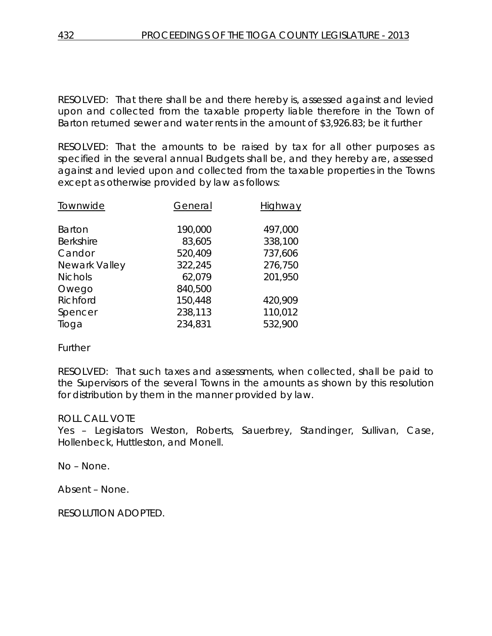RESOLVED: That there shall be and there hereby is, assessed against and levied upon and collected from the taxable property liable therefore in the Town of Barton returned sewer and water rents in the amount of \$3,926.83; be it further

RESOLVED: That the amounts to be raised by tax for all other purposes as specified in the several annual Budgets shall be, and they hereby are, assessed against and levied upon and collected from the taxable properties in the Towns except as otherwise provided by law as follows:

| Townwide         | General | Highway |
|------------------|---------|---------|
| <b>Barton</b>    | 190,000 | 497,000 |
| <b>Berkshire</b> | 83,605  | 338,100 |
| Candor           | 520,409 | 737,606 |
| Newark Valley    | 322,245 | 276,750 |
| <b>Nichols</b>   | 62,079  | 201,950 |
| Owego            | 840,500 |         |
| Richford         | 150,448 | 420,909 |
| Spencer          | 238,113 | 110,012 |
| Tioga            | 234,831 | 532,900 |

**Further** 

RESOLVED: That such taxes and assessments, when collected, shall be paid to the Supervisors of the several Towns in the amounts as shown by this resolution for distribution by them in the manner provided by law.

## ROLL CALL VOTE

Yes – Legislators Weston, Roberts, Sauerbrey, Standinger, Sullivan, Case, Hollenbeck, Huttleston, and Monell.

No – None.

Absent – None.

RESOLUTION ADOPTED.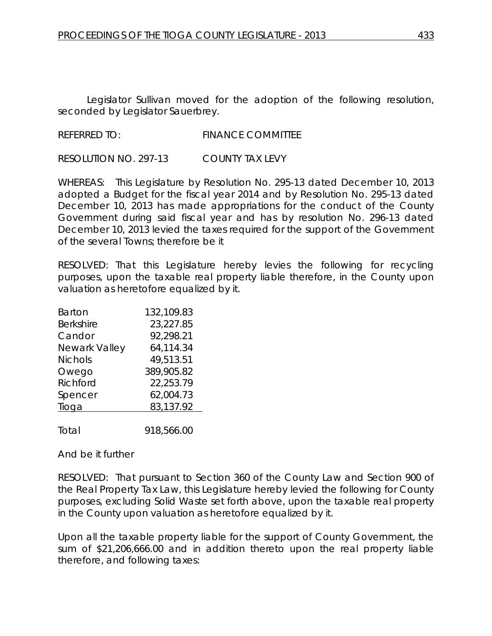Legislator Sullivan moved for the adoption of the following resolution, seconded by Legislator Sauerbrey.

REFERRED TO: FINANCE COMMITTEE

RESOLUTION NO. 297-13 *COUNTY TAX LEVY*

WHEREAS: This Legislature by Resolution No. 295-13 dated December 10, 2013 adopted a Budget for the fiscal year 2014 and by Resolution No. 295-13 dated December 10, 2013 has made appropriations for the conduct of the County Government during said fiscal year and has by resolution No. 296-13 dated December 10, 2013 levied the taxes required for the support of the Government of the several Towns; therefore be it

RESOLVED: That this Legislature hereby levies the following for recycling purposes, upon the taxable real property liable therefore, in the County upon valuation as heretofore equalized by it.

| Barton           | 132,109.83 |
|------------------|------------|
| <b>Berkshire</b> | 23,227.85  |
| Candor           | 92,298.21  |
| Newark Valley    | 64,114.34  |
| <b>Nichols</b>   | 49,513.51  |
| Owego            | 389,905.82 |
| Richford         | 22,253.79  |
| Spencer          | 62,004.73  |
| Tioga            | 83,137.92  |
|                  |            |
|                  |            |

Total 918,566.00

And be it further

RESOLVED: That pursuant to Section 360 of the County Law and Section 900 of the Real Property Tax Law, this Legislature hereby levied the following for County purposes, excluding Solid Waste set forth above, upon the taxable real property in the County upon valuation as heretofore equalized by it.

Upon all the taxable property liable for the support of County Government, the sum of \$21,206,666.00 and in addition thereto upon the real property liable therefore, and following taxes: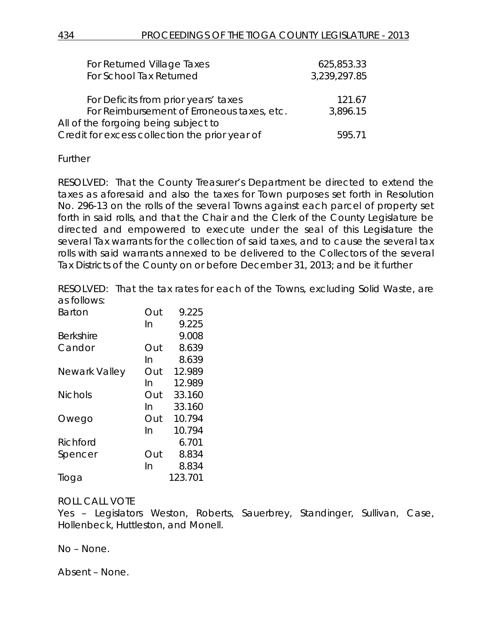| For Returned Village Taxes                     | 625,853.33   |
|------------------------------------------------|--------------|
| For School Tax Returned                        | 3,239,297.85 |
|                                                |              |
| For Deficits from prior years' taxes           | 121.67       |
| For Reimbursement of Erroneous taxes, etc.     | 3,896.15     |
| All of the forgoing being subject to           |              |
| Credit for excess collection the prior year of | 595.71       |

Further

RESOLVED: That the County Treasurer's Department be directed to extend the taxes as aforesaid and also the taxes for Town purposes set forth in Resolution No. 296-13 on the rolls of the several Towns against each parcel of property set forth in said rolls, and that the Chair and the Clerk of the County Legislature be directed and empowered to execute under the seal of this Legislature the several Tax warrants for the collection of said taxes, and to cause the several tax rolls with said warrants annexed to be delivered to the Collectors of the several Tax Districts of the County on or before December 31, 2013; and be it further

RESOLVED: That the tax rates for each of the Towns, excluding Solid Waste, are as follows:

| <b>Barton</b>    | Out | 9.225   |
|------------------|-----|---------|
|                  | In  | 9.225   |
| <b>Berkshire</b> |     | 9.008   |
| Candor           | Out | 8.639   |
|                  | In  | 8.639   |
| Newark Valley    | Out | 12.989  |
|                  | In  | 12.989  |
| <b>Nichols</b>   | Out | 33.160  |
|                  | In  | 33.160  |
| Owego            | Out | 10.794  |
|                  | In  | 10.794  |
| Richford         |     | 6.701   |
| Spencer          | Out | 8.834   |
|                  | In  | 8.834   |
| Tioga            |     | 123.701 |

# ROLL CALL VOTE

Yes – Legislators Weston, Roberts, Sauerbrey, Standinger, Sullivan, Case, Hollenbeck, Huttleston, and Monell.

No – None.

Absent – None.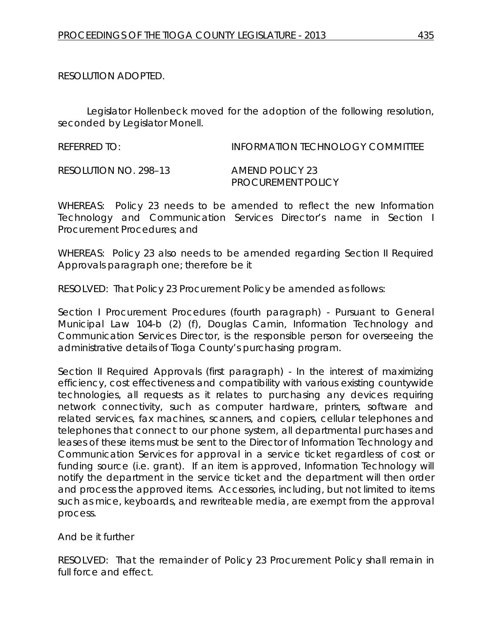RESOLUTION ADOPTED.

Legislator Hollenbeck moved for the adoption of the following resolution, seconded by Legislator Monell.

REFERRED TO: INFORMATION TECHNOLOGY COMMITTEE RESOLUTION NO. 298–13 *AMEND POLICY 23 PROCUREMENT POLICY*

WHEREAS: Policy 23 needs to be amended to reflect the new Information Technology and Communication Services Director's name in Section I Procurement Procedures; and

WHEREAS: Policy 23 also needs to be amended regarding Section II Required Approvals paragraph one; therefore be it

RESOLVED: That Policy 23 Procurement Policy be amended as follows:

Section I Procurement Procedures (fourth paragraph) - Pursuant to General Municipal Law 104-b (2) (f), Douglas Camin, Information Technology and Communication Services Director, is the responsible person for overseeing the administrative details of Tioga County's purchasing program.

Section II Required Approvals (first paragraph) - In the interest of maximizing efficiency, cost effectiveness and compatibility with various existing countywide technologies, all requests as it relates to purchasing any devices requiring network connectivity, such as computer hardware, printers, software and related services, fax machines, scanners, and copiers, cellular telephones and telephones that connect to our phone system, all departmental purchases and leases of these items must be sent to the Director of Information Technology and Communication Services for approval in a service ticket regardless of cost or funding source (i.e. grant). If an item is approved, Information Technology will notify the department in the service ticket and the department will then order and process the approved items. Accessories, including, but not limited to items such as mice, keyboards, and rewriteable media, are exempt from the approval process.

And be it further

RESOLVED: That the remainder of Policy 23 Procurement Policy shall remain in full force and effect.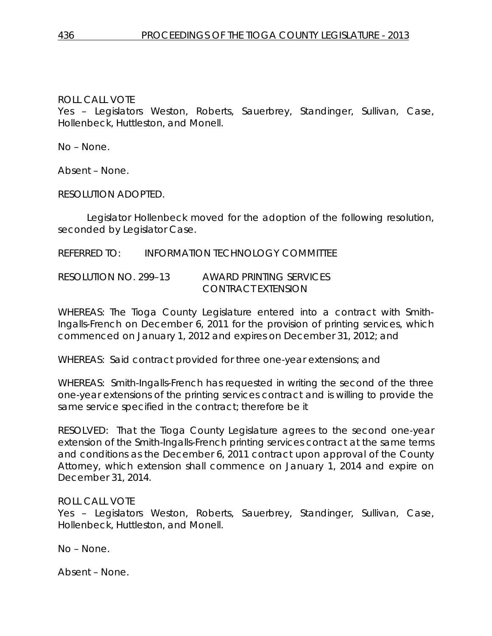#### ROLL CALL VOTE

Yes – Legislators Weston, Roberts, Sauerbrey, Standinger, Sullivan, Case, Hollenbeck, Huttleston, and Monell.

No – None.

Absent – None.

RESOLUTION ADOPTED.

Legislator Hollenbeck moved for the adoption of the following resolution, seconded by Legislator Case.

REFERRED TO: INFORMATION TECHNOLOGY COMMITTEE

RESOLUTION NO. 299–13 *AWARD PRINTING SERVICES CONTRACT EXTENSION*

WHEREAS: The Tioga County Legislature entered into a contract with Smith-Ingalls-French on December 6, 2011 for the provision of printing services, which commenced on January 1, 2012 and expires on December 31, 2012; and

WHEREAS: Said contract provided for three one-year extensions; and

WHEREAS: Smith-Ingalls-French has requested in writing the second of the three one-year extensions of the printing services contract and is willing to provide the same service specified in the contract; therefore be it

RESOLVED: That the Tioga County Legislature agrees to the second one-year extension of the Smith-Ingalls-French printing services contract at the same terms and conditions as the December 6, 2011 contract upon approval of the County Attorney, which extension shall commence on January 1, 2014 and expire on December 31, 2014.

#### ROLL CALL VOTE

Yes – Legislators Weston, Roberts, Sauerbrey, Standinger, Sullivan, Case, Hollenbeck, Huttleston, and Monell.

No – None.

Absent – None.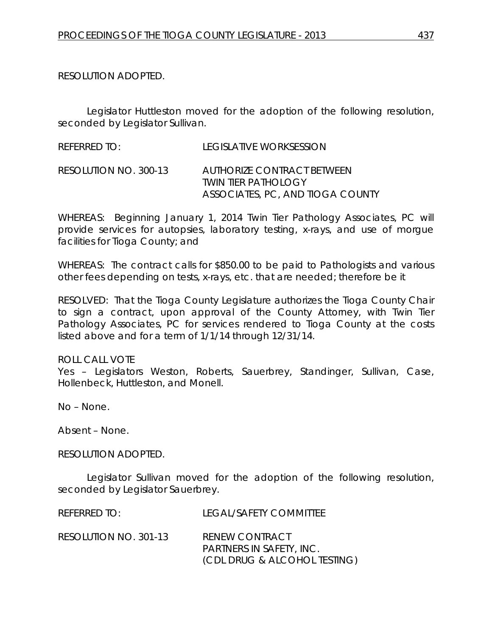RESOLUTION ADOPTED.

Legislator Huttleston moved for the adoption of the following resolution, seconded by Legislator Sullivan.

REFERRED TO: LEGISLATIVE WORKSESSION RESOLUTION NO. 300-13 *AUTHORIZE CONTRACT BETWEEN TWIN TIER PATHOLOGY ASSOCIATES, PC, AND TIOGA COUNTY*

WHEREAS: Beginning January 1, 2014 Twin Tier Pathology Associates, PC will provide services for autopsies, laboratory testing, x-rays, and use of morgue facilities for Tioga County; and

WHEREAS: The contract calls for \$850.00 to be paid to Pathologists and various other fees depending on tests, x-rays, etc. that are needed; therefore be it

RESOLVED: That the Tioga County Legislature authorizes the Tioga County Chair to sign a contract, upon approval of the County Attorney, with Twin Tier Pathology Associates, PC for services rendered to Tioga County at the costs listed above and for a term of 1/1/14 through 12/31/14.

#### ROLL CALL VOTE

Yes – Legislators Weston, Roberts, Sauerbrey, Standinger, Sullivan, Case, Hollenbeck, Huttleston, and Monell.

No – None.

Absent – None.

RESOLUTION ADOPTED.

Legislator Sullivan moved for the adoption of the following resolution, seconded by Legislator Sauerbrey.

| REFERRED TO:          | LEGAL/SAFETY COMMITTEE                                                                   |
|-----------------------|------------------------------------------------------------------------------------------|
| RESOLUTION NO. 301-13 | <b>RENEW CONTRACT</b><br><b>PARTNERS IN SAFETY, INC.</b><br>(CDL DRUG & ALCOHOL TESTING) |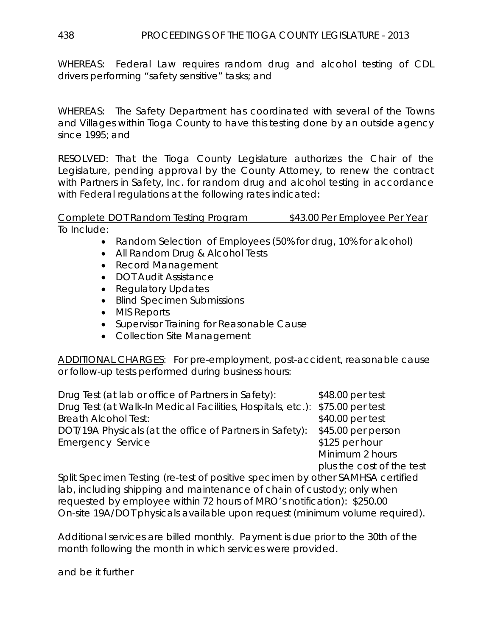WHEREAS: Federal Law requires random drug and alcohol testing of CDL drivers performing "safety sensitive" tasks; and

WHEREAS: The Safety Department has coordinated with several of the Towns and Villages within Tioga County to have this testing done by an outside agency since 1995; and

RESOLVED: That the Tioga County Legislature authorizes the Chair of the Legislature, pending approval by the County Attorney, to renew the contract with Partners in Safety, Inc. for random drug and alcohol testing in accordance with Federal regulations at the following rates indicated:

Complete DOT Random Testing Program \$43.00 Per Employee Per Year To Include:

- Random Selection of Employees (50% for drug, 10% for alcohol)
- All Random Drug & Alcohol Tests
- Record Management
- DOT Audit Assistance
- Regulatory Updates
- Blind Specimen Submissions
- MIS Reports
- Supervisor Training for Reasonable Cause
- Collection Site Management

ADDITIONAL CHARGES: For pre-employment, post-accident, reasonable cause or follow-up tests performed during business hours:

Drug Test (at lab or office of Partners in Safety): \$48.00 per test Drug Test (at Walk-In Medical Facilities, Hospitals, etc.): \$75.00 per test Breath Alcohol Test:  $$40.00$  per test DOT/19A Physicals (at the office of Partners in Safety): \$45.00 per person Emergency Service **\$125 per hour** 

Minimum 2 hours plus the cost of the test

Split Specimen Testing (re-test of positive specimen by other SAMHSA certified lab, including shipping and maintenance of chain of custody; only when requested by employee within 72 hours of MRO's notification): \$250.00 On-site 19A/DOT physicals available upon request (minimum volume required).

Additional services are billed monthly. Payment is due prior to the 30th of the month following the month in which services were provided.

and be it further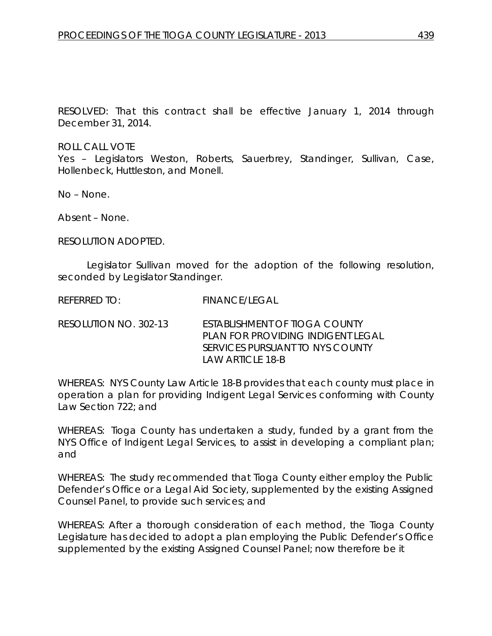RESOLVED: That this contract shall be effective January 1, 2014 through December 31, 2014.

ROLL CALL VOTE

Yes – Legislators Weston, Roberts, Sauerbrey, Standinger, Sullivan, Case, Hollenbeck, Huttleston, and Monell.

No – None.

Absent – None.

RESOLUTION ADOPTED.

Legislator Sullivan moved for the adoption of the following resolution, seconded by Legislator Standinger.

REFERRED TO: FINANCE/LEGAL

RESOLUTION NO. 302-13 *ESTABLISHMENT OF TIOGA COUNTY PLAN FOR PROVIDING INDIGENT LEGAL SERVICES PURSUANT TO NYS COUNTY LAW ARTICLE 18-B*

WHEREAS: NYS County Law Article 18-B provides that each county must place in operation a plan for providing Indigent Legal Services conforming with County Law Section 722; and

WHEREAS: Tioga County has undertaken a study, funded by a grant from the NYS Office of Indigent Legal Services, to assist in developing a compliant plan; and

WHEREAS: The study recommended that Tioga County either employ the Public Defender's Office or a Legal Aid Society, supplemented by the existing Assigned Counsel Panel, to provide such services; and

WHEREAS: After a thorough consideration of each method, the Tioga County Legislature has decided to adopt a plan employing the Public Defender's Office supplemented by the existing Assigned Counsel Panel; now therefore be it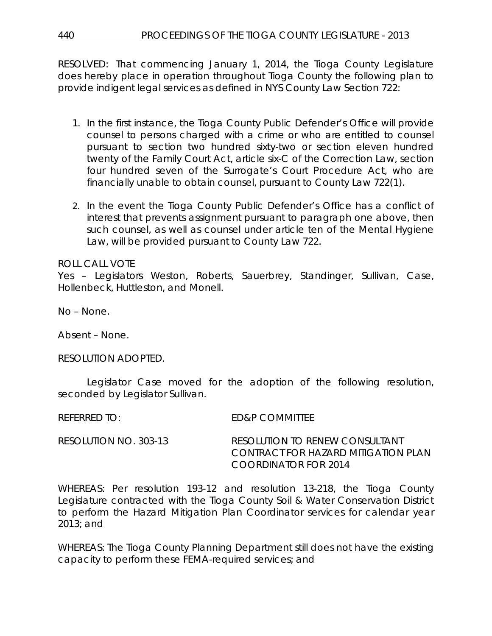RESOLVED: That commencing January 1, 2014, the Tioga County Legislature does hereby place in operation throughout Tioga County the following plan to provide indigent legal services as defined in NYS County Law Section 722:

- 1. In the first instance, the Tioga County Public Defender's Office will provide counsel to persons charged with a crime or who are entitled to counsel pursuant to section two hundred sixty-two or section eleven hundred twenty of the Family Court Act, article six-C of the Correction Law, section four hundred seven of the Surrogate's Court Procedure Act, who are financially unable to obtain counsel, pursuant to County Law 722(1).
- 2. In the event the Tioga County Public Defender's Office has a conflict of interest that prevents assignment pursuant to paragraph one above, then such counsel, as well as counsel under article ten of the Mental Hygiene Law, will be provided pursuant to County Law 722.

ROLL CALL VOTE

Yes – Legislators Weston, Roberts, Sauerbrey, Standinger, Sullivan, Case, Hollenbeck, Huttleston, and Monell.

No – None.

Absent – None.

RESOLUTION ADOPTED.

Legislator Case moved for the adoption of the following resolution, seconded by Legislator Sullivan.

REFERRED TO: ED&P COMMITTEE

| RESOLUTION NO. 303-13 | RESOLUTION TO RENEW CONSULTANT      |
|-----------------------|-------------------------------------|
|                       | CONTRACT FOR HAZARD MITIGATION PLAN |
|                       | COORDINATOR FOR 2014                |

WHEREAS: Per resolution 193-12 and resolution 13-218, the Tioga County Legislature contracted with the Tioga County Soil & Water Conservation District to perform the Hazard Mitigation Plan Coordinator services for calendar year 2013; and

WHEREAS: The Tioga County Planning Department still does not have the existing capacity to perform these FEMA-required services; and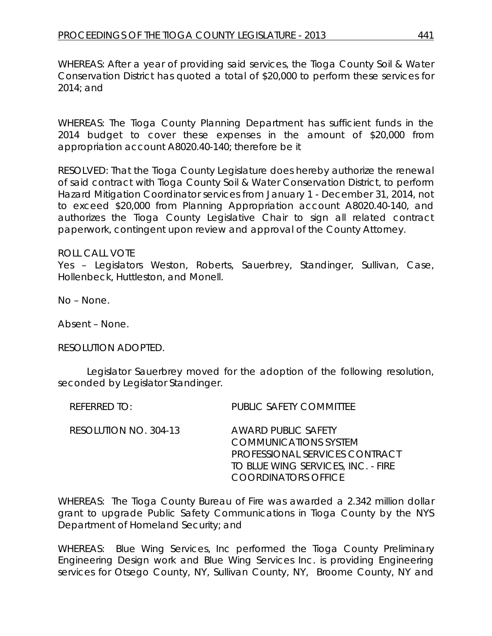WHEREAS: After a year of providing said services, the Tioga County Soil & Water Conservation District has quoted a total of \$20,000 to perform these services for 2014; and

WHEREAS: The Tioga County Planning Department has sufficient funds in the 2014 budget to cover these expenses in the amount of \$20,000 from appropriation account A8020.40-140; therefore be it

RESOLVED: That the Tioga County Legislature does hereby authorize the renewal of said contract with Tioga County Soil & Water Conservation District, to perform Hazard Mitigation Coordinator services from January 1 - December 31, 2014, not to exceed \$20,000 from Planning Appropriation account A8020.40-140, and authorizes the Tioga County Legislative Chair to sign all related contract paperwork, contingent upon review and approval of the County Attorney.

#### ROLL CALL VOTE

Yes – Legislators Weston, Roberts, Sauerbrey, Standinger, Sullivan, Case, Hollenbeck, Huttleston, and Monell.

No – None.

Absent – None.

RESOLUTION ADOPTED.

Legislator Sauerbrey moved for the adoption of the following resolution, seconded by Legislator Standinger.

| RESOLUTION NO. 304-13<br><b>AWARD PUBLIC SAFETY</b><br><b>COMMUNICATIONS SYSTEM</b><br><b>COORDINATORS OFFICE</b> | REFERRED TO: | <b>PUBLIC SAFETY COMMITTEE</b>                                       |
|-------------------------------------------------------------------------------------------------------------------|--------------|----------------------------------------------------------------------|
|                                                                                                                   |              | PROFESSIONAL SERVICES CONTRACT<br>TO BLUE WING SERVICES, INC. - FIRE |

WHEREAS: The Tioga County Bureau of Fire was awarded a 2.342 million dollar grant to upgrade Public Safety Communications in Tioga County by the NYS Department of Homeland Security; and

WHEREAS: Blue Wing Services, Inc performed the Tioga County Preliminary Engineering Design work and Blue Wing Services Inc. is providing Engineering services for Otsego County, NY, Sullivan County, NY, Broome County, NY and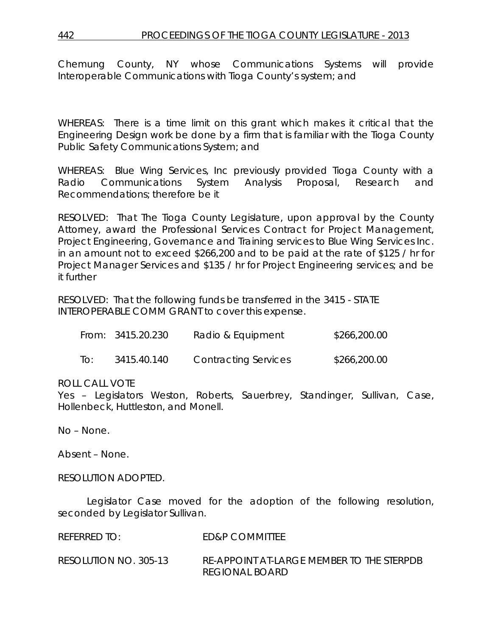Chemung County, NY whose Communications Systems will provide Interoperable Communications with Tioga County's system; and

WHEREAS: There is a time limit on this grant which makes it critical that the Engineering Design work be done by a firm that is familiar with the Tioga County Public Safety Communications System; and

WHEREAS: Blue Wing Services, Inc previously provided Tioga County with a Radio Communications System Analysis Proposal, Research and Recommendations; therefore be it

RESOLVED: That The Tioga County Legislature, upon approval by the County Attorney, award the Professional Services Contract for Project Management, Project Engineering, Governance and Training services to Blue Wing Services Inc. in an amount not to exceed \$266,200 and to be paid at the rate of \$125 / hr for Project Manager Services and \$135 / hr for Project Engineering services; and be it further

RESOLVED: That the following funds be transferred in the 3415 - STATE INTEROPERABLE COMM GRANT to cover this expense.

|     | From: 3415.20.230 | Radio & Equipment           | \$266,200.00 |
|-----|-------------------|-----------------------------|--------------|
| To: | 3415.40.140       | <b>Contracting Services</b> | \$266,200.00 |

#### ROLL CALL VOTE

Yes – Legislators Weston, Roberts, Sauerbrey, Standinger, Sullivan, Case, Hollenbeck, Huttleston, and Monell.

No – None.

Absent – None.

RESOLUTION ADOPTED.

Legislator Case moved for the adoption of the following resolution, seconded by Legislator Sullivan.

| REFERRED TO:          | ED&P COMMITTEE                                              |
|-----------------------|-------------------------------------------------------------|
| RESOLUTION NO. 305-13 | RE-APPOINT AT-LARGE MEMBER TO THE STERPDB<br>REGIONAL BOARD |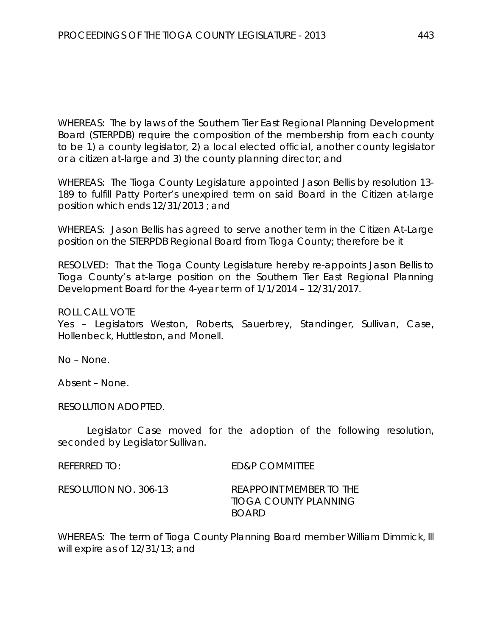WHEREAS: The by laws of the Southern Tier East Regional Planning Development Board (STERPDB) require the composition of the membership from each county to be 1) a county legislator, 2) a local elected official, another county legislator or a citizen at-large and 3) the county planning director; and

WHEREAS: The Tioga County Legislature appointed Jason Bellis by resolution 13- 189 to fulfill Patty Porter's unexpired term on said Board in the Citizen at-large position which ends 12/31/2013 ; and

WHEREAS: Jason Bellis has agreed to serve another term in the Citizen At-Large position on the STERPDB Regional Board from Tioga County; therefore be it

RESOLVED: That the Tioga County Legislature hereby re-appoints Jason Bellis to Tioga County's at-large position on the Southern Tier East Regional Planning Development Board for the 4-year term of 1/1/2014 – 12/31/2017.

ROLL CALL VOTE

Yes – Legislators Weston, Roberts, Sauerbrey, Standinger, Sullivan, Case, Hollenbeck, Huttleston, and Monell.

No – None.

Absent – None.

RESOLUTION ADOPTED.

Legislator Case moved for the adoption of the following resolution, seconded by Legislator Sullivan.

| referred to:          | ED&P COMMITTEE                                                   |
|-----------------------|------------------------------------------------------------------|
| RESOLUTION NO. 306-13 | REAPPOINT MEMBER TO THE<br>TIOGA COUNTY PLANNING<br><b>BOARD</b> |

WHEREAS: The term of Tioga County Planning Board member William Dimmick, lll will expire as of 12/31/13; and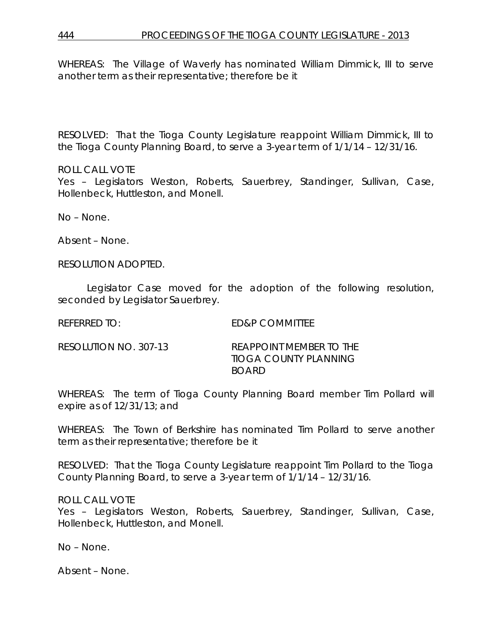WHEREAS: The Village of Waverly has nominated William Dimmick, III to serve another term as their representative; therefore be it

RESOLVED: That the Tioga County Legislature reappoint William Dimmick, III to the Tioga County Planning Board, to serve a 3-year term of 1/1/14 – 12/31/16.

#### ROLL CALL VOTE

Yes – Legislators Weston, Roberts, Sauerbrey, Standinger, Sullivan, Case, Hollenbeck, Huttleston, and Monell.

No – None.

Absent – None.

RESOLUTION ADOPTED.

Legislator Case moved for the adoption of the following resolution, seconded by Legislator Sauerbrey.

REFERRED TO: ED&P COMMITTEE

RESOLUTION NO. 307-13 *REAPPOINT MEMBER TO THE TIOGA COUNTY PLANNING BOARD*

WHEREAS: The term of Tioga County Planning Board member Tim Pollard will expire as of 12/31/13; and

WHEREAS: The Town of Berkshire has nominated Tim Pollard to serve another term as their representative; therefore be it

RESOLVED: That the Tioga County Legislature reappoint Tim Pollard to the Tioga County Planning Board, to serve a 3-year term of 1/1/14 – 12/31/16.

ROLL CALL VOTE

Yes – Legislators Weston, Roberts, Sauerbrey, Standinger, Sullivan, Case, Hollenbeck, Huttleston, and Monell.

No – None.

Absent – None.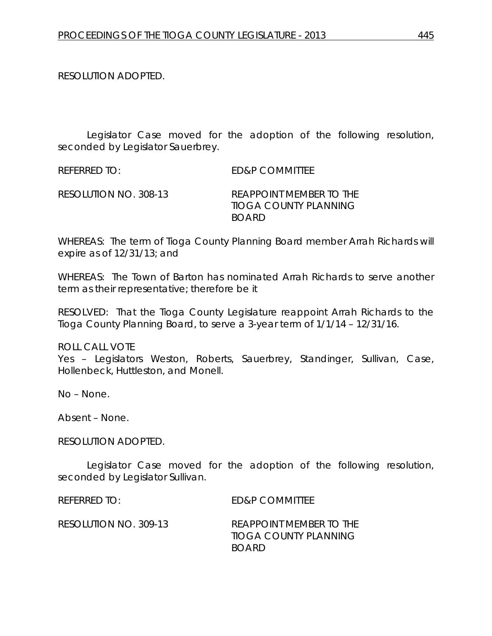RESOLUTION ADOPTED.

Legislator Case moved for the adoption of the following resolution, seconded by Legislator Sauerbrey.

REFERRED TO: ED&P COMMITTEE RESOLUTION NO. 308-13 *REAPPOINT MEMBER TO THE TIOGA COUNTY PLANNING* 

WHEREAS: The term of Tioga County Planning Board member Arrah Richards will expire as of 12/31/13; and

*BOARD*

WHEREAS: The Town of Barton has nominated Arrah Richards to serve another term as their representative; therefore be it

RESOLVED: That the Tioga County Legislature reappoint Arrah Richards to the Tioga County Planning Board, to serve a 3-year term of 1/1/14 – 12/31/16.

ROLL CALL VOTE

Yes – Legislators Weston, Roberts, Sauerbrey, Standinger, Sullivan, Case, Hollenbeck, Huttleston, and Monell.

No – None.

Absent – None.

RESOLUTION ADOPTED.

Legislator Case moved for the adoption of the following resolution, seconded by Legislator Sullivan.

REFERRED TO: ED&P COMMITTEE

RESOLUTION NO. 309-13 *REAPPOINT MEMBER TO THE TIOGA COUNTY PLANNING BOARD*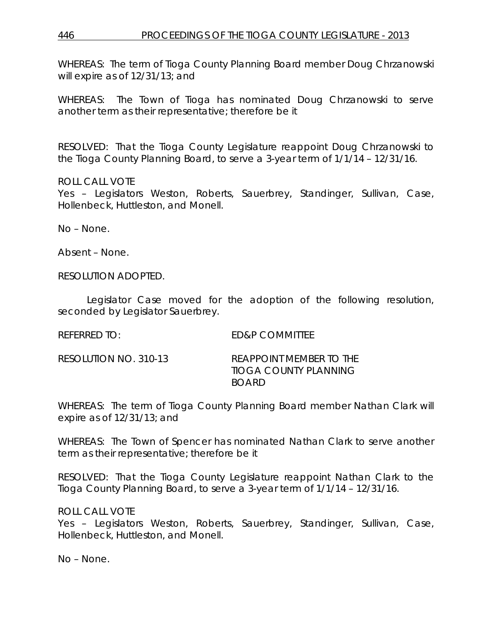WHEREAS: The term of Tioga County Planning Board member Doug Chrzanowski will expire as of 12/31/13; and

WHEREAS: The Town of Tioga has nominated Doug Chrzanowski to serve another term as their representative; therefore be it

RESOLVED: That the Tioga County Legislature reappoint Doug Chrzanowski to the Tioga County Planning Board, to serve a 3-year term of 1/1/14 – 12/31/16.

ROLL CALL VOTE

Yes – Legislators Weston, Roberts, Sauerbrey, Standinger, Sullivan, Case, Hollenbeck, Huttleston, and Monell.

No – None.

Absent – None.

RESOLUTION ADOPTED.

Legislator Case moved for the adoption of the following resolution, seconded by Legislator Sauerbrey.

REFERRED TO: ED&P COMMITTEE

| RESOLUTION NO. 310-13 | <b>REAPPOINT MEMBER TO THE</b> |
|-----------------------|--------------------------------|
|                       | TIOGA COUNTY PLANNING          |
|                       | <b>BOARD</b>                   |

WHEREAS: The term of Tioga County Planning Board member Nathan Clark will expire as of 12/31/13; and

WHEREAS: The Town of Spencer has nominated Nathan Clark to serve another term as their representative; therefore be it

RESOLVED: That the Tioga County Legislature reappoint Nathan Clark to the Tioga County Planning Board, to serve a 3-year term of 1/1/14 – 12/31/16.

ROLL CALL VOTE

Yes – Legislators Weston, Roberts, Sauerbrey, Standinger, Sullivan, Case, Hollenbeck, Huttleston, and Monell.

No – None.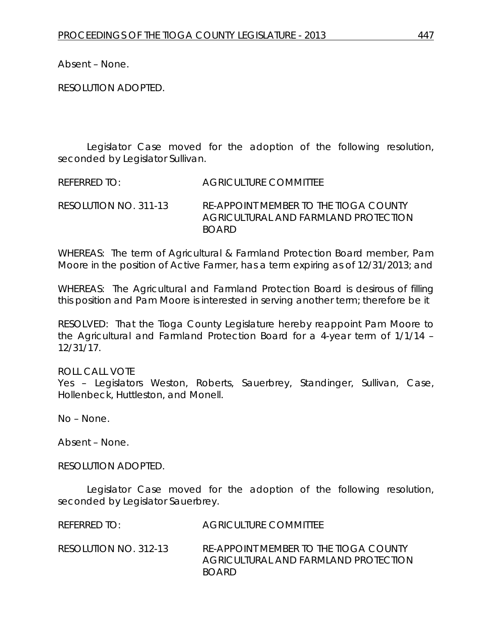Absent – None.

RESOLUTION ADOPTED.

Legislator Case moved for the adoption of the following resolution, seconded by Legislator Sullivan.

REFERRED TO: AGRICULTURE COMMITTEE

RESOLUTION NO. 311-13 *RE-APPOINT MEMBER TO THE TIOGA COUNTY AGRICULTURAL AND FARMLAND PROTECTION BOARD*

WHEREAS: The term of Agricultural & Farmland Protection Board member, Pam Moore in the position of Active Farmer, has a term expiring as of 12/31/2013; and

WHEREAS: The Agricultural and Farmland Protection Board is desirous of filling this position and Pam Moore is interested in serving another term; therefore be it

RESOLVED: That the Tioga County Legislature hereby reappoint Pam Moore to the Agricultural and Farmland Protection Board for a 4-year term of 1/1/14 – 12/31/17.

ROLL CALL VOTE Yes – Legislators Weston, Roberts, Sauerbrey, Standinger, Sullivan, Case, Hollenbeck, Huttleston, and Monell.

No – None.

Absent – None.

RESOLUTION ADOPTED.

Legislator Case moved for the adoption of the following resolution, seconded by Legislator Sauerbrey.

REFERRED TO: AGRICULTURE COMMITTEE RESOLUTION NO. 312-13 *RE-APPOINT MEMBER TO THE TIOGA COUNTY AGRICULTURAL AND FARMLAND PROTECTION BOARD*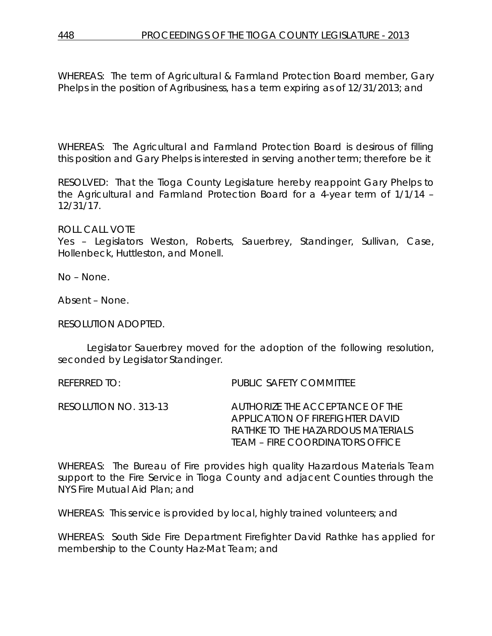WHEREAS: The term of Agricultural & Farmland Protection Board member, Gary Phelps in the position of Agribusiness, has a term expiring as of 12/31/2013; and

WHEREAS: The Agricultural and Farmland Protection Board is desirous of filling this position and Gary Phelps is interested in serving another term; therefore be it

RESOLVED: That the Tioga County Legislature hereby reappoint Gary Phelps to the Agricultural and Farmland Protection Board for a 4-year term of 1/1/14 – 12/31/17.

ROLL CALL VOTE

Yes – Legislators Weston, Roberts, Sauerbrey, Standinger, Sullivan, Case, Hollenbeck, Huttleston, and Monell.

No – None.

Absent – None.

RESOLUTION ADOPTED.

Legislator Sauerbrey moved for the adoption of the following resolution, seconded by Legislator Standinger.

REFERRED TO: PUBLIC SAFETY COMMITTEE RESOLUTION NO. 313-13 *AUTHORIZE THE ACCEPTANCE OF THE APPLICATION OF FIREFIGHTER DAVID* 

WHEREAS: The Bureau of Fire provides high quality Hazardous Materials Team support to the Fire Service in Tioga County and adjacent Counties through the NYS Fire Mutual Aid Plan; and

*RATHKE TO THE HAZARDOUS MATERIALS TEAM – FIRE COORDINATORS OFFICE*

WHEREAS: This service is provided by local, highly trained volunteers; and

WHEREAS: South Side Fire Department Firefighter David Rathke has applied for membership to the County Haz-Mat Team; and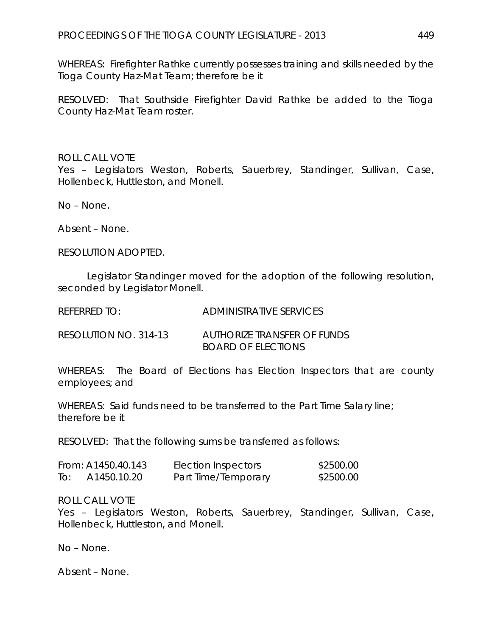WHEREAS: Firefighter Rathke currently possesses training and skills needed by the Tioga County Haz-Mat Team; therefore be it

RESOLVED: That Southside Firefighter David Rathke be added to the Tioga County Haz-Mat Team roster.

## ROLL CALL VOTE

Yes – Legislators Weston, Roberts, Sauerbrey, Standinger, Sullivan, Case, Hollenbeck, Huttleston, and Monell.

No – None.

Absent – None.

RESOLUTION ADOPTED.

Legislator Standinger moved for the adoption of the following resolution, seconded by Legislator Monell.

REFERRED TO: ADMINISTRATIVE SERVICES

RESOLUTION NO. 314-13 *AUTHORIZE TRANSFER OF FUNDS BOARD OF ELECTIONS*

WHEREAS: The Board of Elections has Election Inspectors that are county employees; and

WHEREAS: Said funds need to be transferred to the Part Time Salary line; therefore be it

RESOLVED: That the following sums be transferred as follows:

|     | From: A1450.40.143 | Election Inspectors | \$2500.00 |
|-----|--------------------|---------------------|-----------|
| To: | A1450.10.20        | Part Time/Temporary | \$2500.00 |

ROLL CALL VOTE

Yes – Legislators Weston, Roberts, Sauerbrey, Standinger, Sullivan, Case, Hollenbeck, Huttleston, and Monell.

No – None.

Absent – None.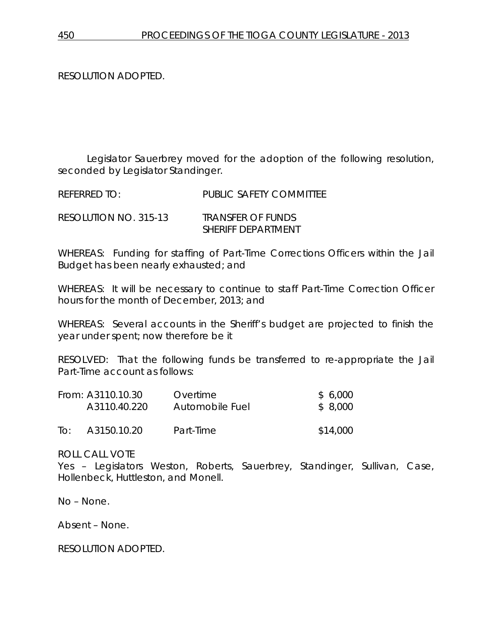RESOLUTION ADOPTED.

Legislator Sauerbrey moved for the adoption of the following resolution, seconded by Legislator Standinger.

REFERRED TO: PUBLIC SAFETY COMMITTEE

RESOLUTION NO. 315-13 *TRANSFER OF FUNDS SHERIFF DEPARTMENT*

WHEREAS: Funding for staffing of Part-Time Corrections Officers within the Jail Budget has been nearly exhausted; and

WHEREAS: It will be necessary to continue to staff Part-Time Correction Officer hours for the month of December, 2013; and

WHEREAS: Several accounts in the Sheriff's budget are projected to finish the year under spent; now therefore be it

RESOLVED: That the following funds be transferred to re-appropriate the Jail Part-Time account as follows:

|     | From: A3110.10.30 | Overtime        | \$6,000  |
|-----|-------------------|-----------------|----------|
|     | A3110.40.220      | Automobile Fuel | \$8,000  |
| To: | A3150.10.20       | Part-Time       | \$14,000 |

ROLL CALL VOTE

Yes – Legislators Weston, Roberts, Sauerbrey, Standinger, Sullivan, Case, Hollenbeck, Huttleston, and Monell.

No – None.

Absent – None.

RESOLUTION ADOPTED.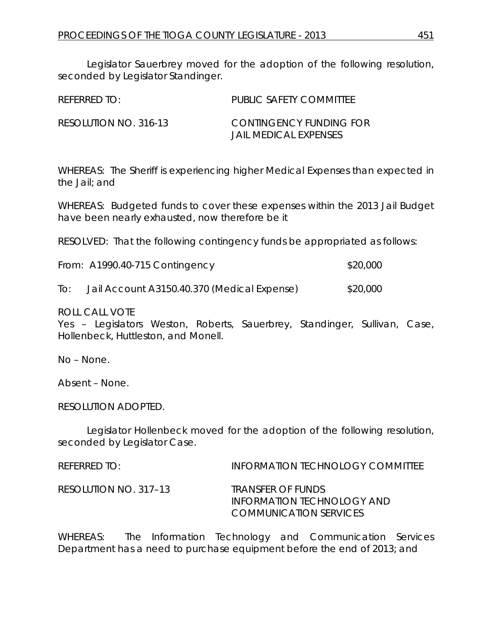Legislator Sauerbrey moved for the adoption of the following resolution, seconded by Legislator Standinger.

| REFERRED TO:          | PUBLIC SAFETY COMMITTEE                          |
|-----------------------|--------------------------------------------------|
| RESOLUTION NO. 316-13 | CONTINGENCY FUNDING FOR<br>JAIL MEDICAL EXPENSES |

WHEREAS: The Sheriff is experiencing higher Medical Expenses than expected in the Jail; and

WHEREAS: Budgeted funds to cover these expenses within the 2013 Jail Budget have been nearly exhausted, now therefore be it

RESOLVED: That the following contingency funds be appropriated as follows:

|  | From: A1990.40-715 Contingency | \$20,000 |  |
|--|--------------------------------|----------|--|
|--|--------------------------------|----------|--|

To: Jail Account A3150.40.370 (Medical Expense) \$20,000

ROLL CALL VOTE

Yes – Legislators Weston, Roberts, Sauerbrey, Standinger, Sullivan, Case, Hollenbeck, Huttleston, and Monell.

No – None.

Absent – None.

RESOLUTION ADOPTED.

Legislator Hollenbeck moved for the adoption of the following resolution, seconded by Legislator Case.

REFERRED TO: INFORMATION TECHNOLOGY COMMITTEE RESOLUTION NO. 317–13 *TRANSFER OF FUNDS INFORMATION TECHNOLOGY AND COMMUNICATION SERVICES*

WHEREAS: The Information Technology and Communication Services Department has a need to purchase equipment before the end of 2013; and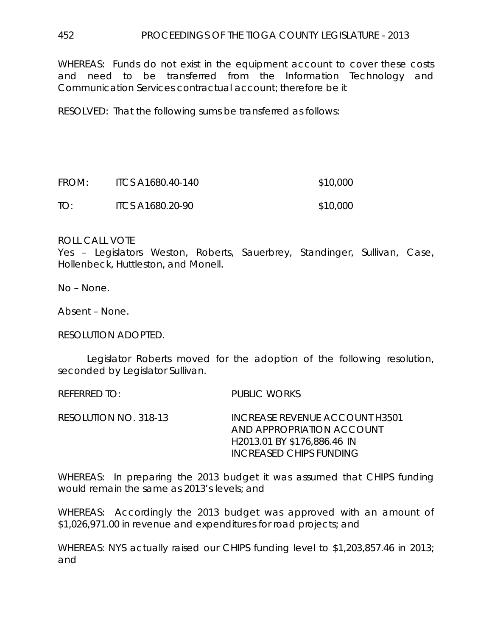WHEREAS: Funds do not exist in the equipment account to cover these costs and need to be transferred from the Information Technology and Communication Services contractual account; therefore be it

RESOLVED: That the following sums be transferred as follows:

| FROM: | ITCS A1680.40-140 | \$10,000 |
|-------|-------------------|----------|
| TO:   | ITCS A1680.20-90  | \$10,000 |

#### ROLL CALL VOTE

Yes – Legislators Weston, Roberts, Sauerbrey, Standinger, Sullivan, Case, Hollenbeck, Huttleston, and Monell.

No – None.

Absent – None.

RESOLUTION ADOPTED.

Legislator Roberts moved for the adoption of the following resolution, seconded by Legislator Sullivan.

REFERRED TO: PUBLIC WORKS

RESOLUTION NO. 318-13 *INCREASE REVENUE ACCOUNT H3501 AND APPROPRIATION ACCOUNT H2013.01 BY \$176,886.46 IN INCREASED CHIPS FUNDING*

WHEREAS: In preparing the 2013 budget it was assumed that CHIPS funding would remain the same as 2013's levels; and

WHEREAS: Accordingly the 2013 budget was approved with an amount of \$1,026,971.00 in revenue and expenditures for road projects; and

WHEREAS: NYS actually raised our CHIPS funding level to \$1,203,857.46 in 2013; and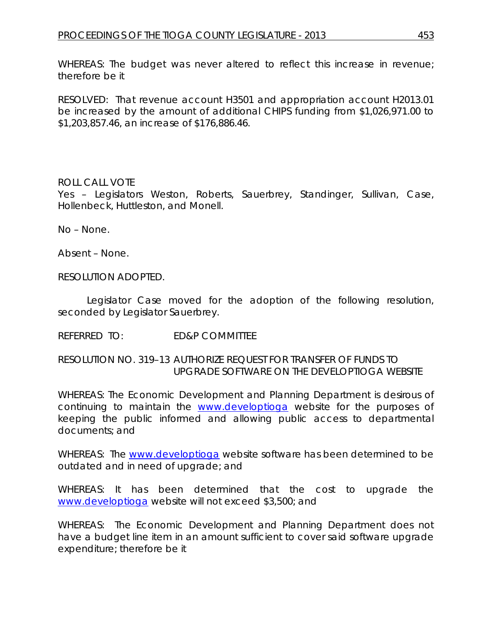WHEREAS: The budget was never altered to reflect this increase in revenue; therefore be it

RESOLVED: That revenue account H3501 and appropriation account H2013.01 be increased by the amount of additional CHIPS funding from \$1,026,971.00 to \$1,203,857.46, an increase of \$176,886.46.

# ROLL CALL VOTE

Yes – Legislators Weston, Roberts, Sauerbrey, Standinger, Sullivan, Case, Hollenbeck, Huttleston, and Monell.

No – None.

Absent – None.

RESOLUTION ADOPTED.

Legislator Case moved for the adoption of the following resolution, seconded by Legislator Sauerbrey.

REFERRED TO: ED&P COMMITTEE

## RESOLUTION NO. 319–13 *AUTHORIZE REQUEST FOR TRANSFER OF FUNDS TO UPGRADE SOFTWARE ON THE DEVELOPTIOGA WEBSITE*

WHEREAS: The Economic Development and Planning Department is desirous of continuing to maintain the [www.developtioga](http://www.developtioga/) website for the purposes of keeping the public informed and allowing public access to departmental documents; and

WHEREAS: The [www.developtioga](http://www.developtioga/) website software has been determined to be outdated and in need of upgrade; and

WHEREAS: It has been determined that the cost to upgrade the [www.developtioga](http://www.developtioga/) website will not exceed \$3,500; and

WHEREAS: The Economic Development and Planning Department does not have a budget line item in an amount sufficient to cover said software upgrade expenditure; therefore be it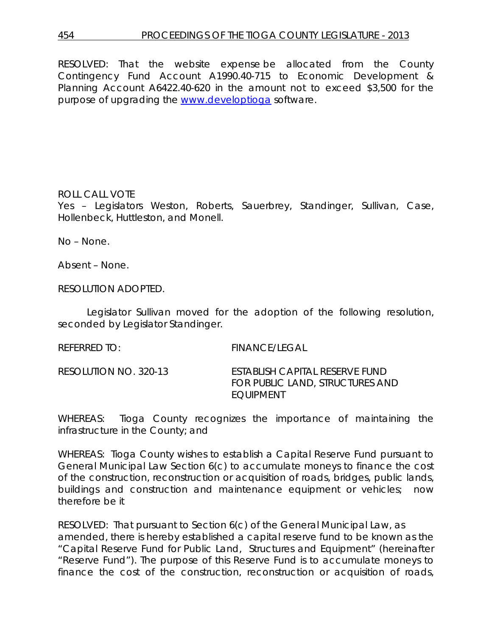RESOLVED: That the website expense be allocated from the County Contingency Fund Account A1990.40-715 to Economic Development & Planning Account A6422.40-620 in the amount not to exceed \$3,500 for the purpose of upgrading the [www.developtioga](http://www.developtioga/) software.

## ROLL CALL VOTE

Yes – Legislators Weston, Roberts, Sauerbrey, Standinger, Sullivan, Case, Hollenbeck, Huttleston, and Monell.

No – None.

Absent – None.

RESOLUTION ADOPTED.

Legislator Sullivan moved for the adoption of the following resolution, seconded by Legislator Standinger.

REFERRED TO: FINANCE/LEGAL

RESOLUTION NO. 320-13 *ESTABLISH CAPITAL RESERVE FUND FOR PUBLIC LAND, STRUCTURES AND EQUIPMENT*

WHEREAS: Tioga County recognizes the importance of maintaining the infrastructure in the County; and

WHEREAS: Tioga County wishes to establish a Capital Reserve Fund pursuant to General Municipal Law Section 6(c) to accumulate moneys to finance the cost of the construction, reconstruction or acquisition of roads, bridges, public lands, buildings and construction and maintenance equipment or vehicles; now therefore be it

RESOLVED: That pursuant to Section 6(c) of the General Municipal Law, as amended, there is hereby established a capital reserve fund to be known as the "Capital Reserve Fund for Public Land, Structures and Equipment" (hereinafter "Reserve Fund"). The purpose of this Reserve Fund is to accumulate moneys to finance the cost of the construction, reconstruction or acquisition of roads,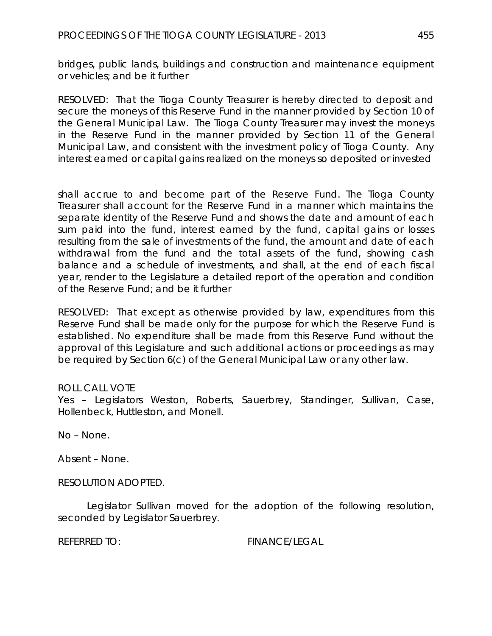bridges, public lands, buildings and construction and maintenance equipment or vehicles; and be it further

RESOLVED: That the Tioga County Treasurer is hereby directed to deposit and secure the moneys of this Reserve Fund in the manner provided by Section 10 of the General Municipal Law. The Tioga County Treasurer may invest the moneys in the Reserve Fund in the manner provided by Section 11 of the General Municipal Law, and consistent with the investment policy of Tioga County. Any interest earned or capital gains realized on the moneys so deposited or invested

shall accrue to and become part of the Reserve Fund. The Tioga County Treasurer shall account for the Reserve Fund in a manner which maintains the separate identity of the Reserve Fund and shows the date and amount of each sum paid into the fund, interest earned by the fund, capital gains or losses resulting from the sale of investments of the fund, the amount and date of each withdrawal from the fund and the total assets of the fund, showing cash balance and a schedule of investments, and shall, at the end of each fiscal year, render to the Legislature a detailed report of the operation and condition of the Reserve Fund; and be it further

RESOLVED: That except as otherwise provided by law, expenditures from this Reserve Fund shall be made only for the purpose for which the Reserve Fund is established. No expenditure shall be made from this Reserve Fund without the approval of this Legislature and such additional actions or proceedings as may be required by Section 6(c) of the General Municipal Law or any other law.

## ROLL CALL VOTE

Yes – Legislators Weston, Roberts, Sauerbrey, Standinger, Sullivan, Case, Hollenbeck, Huttleston, and Monell.

No – None.

Absent – None.

RESOLUTION ADOPTED.

Legislator Sullivan moved for the adoption of the following resolution, seconded by Legislator Sauerbrey.

REFERRED TO: FINANCE/LEGAL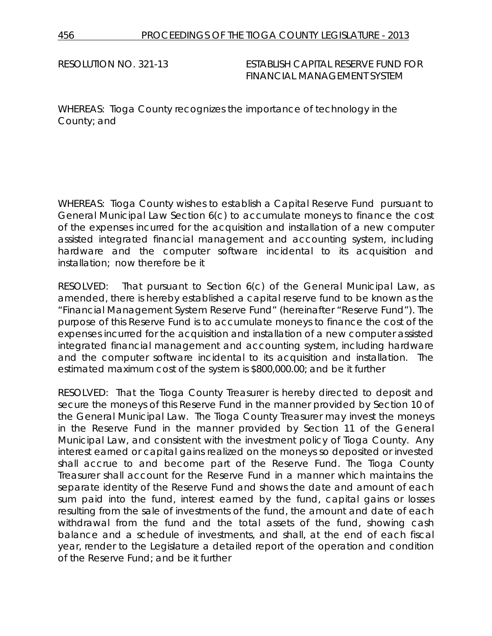RESOLUTION NO. 321-13 *ESTABLISH CAPITAL RESERVE FUND FOR FINANCIAL MANAGEMENT SYSTEM*

WHEREAS: Tioga County recognizes the importance of technology in the County; and

WHEREAS: Tioga County wishes to establish a Capital Reserve Fund pursuant to General Municipal Law Section 6(c) to accumulate moneys to finance the cost of the expenses incurred for the acquisition and installation of a new computer assisted integrated financial management and accounting system, including hardware and the computer software incidental to its acquisition and installation; now therefore be it

RESOLVED: That pursuant to Section 6(c) of the General Municipal Law, as amended, there is hereby established a capital reserve fund to be known as the "Financial Management System Reserve Fund" (hereinafter "Reserve Fund"). The purpose of this Reserve Fund is to accumulate moneys to finance the cost of the expenses incurred for the acquisition and installation of a new computer assisted integrated financial management and accounting system, including hardware and the computer software incidental to its acquisition and installation. The estimated maximum cost of the system is \$800,000.00; and be it further

RESOLVED: That the Tioga County Treasurer is hereby directed to deposit and secure the moneys of this Reserve Fund in the manner provided by Section 10 of the General Municipal Law. The Tioga County Treasurer may invest the moneys in the Reserve Fund in the manner provided by Section 11 of the General Municipal Law, and consistent with the investment policy of Tioga County. Any interest earned or capital gains realized on the moneys so deposited or invested shall accrue to and become part of the Reserve Fund. The Tioga County Treasurer shall account for the Reserve Fund in a manner which maintains the separate identity of the Reserve Fund and shows the date and amount of each sum paid into the fund, interest earned by the fund, capital gains or losses resulting from the sale of investments of the fund, the amount and date of each withdrawal from the fund and the total assets of the fund, showing cash balance and a schedule of investments, and shall, at the end of each fiscal year, render to the Legislature a detailed report of the operation and condition of the Reserve Fund; and be it further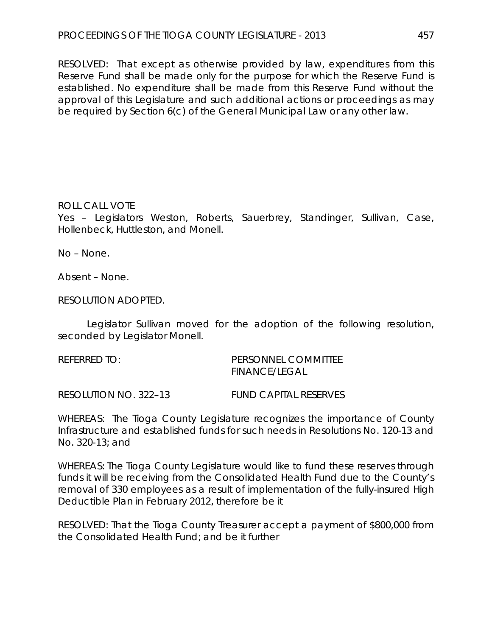RESOLVED: That except as otherwise provided by law, expenditures from this Reserve Fund shall be made only for the purpose for which the Reserve Fund is established. No expenditure shall be made from this Reserve Fund without the approval of this Legislature and such additional actions or proceedings as may be required by Section 6(c) of the General Municipal Law or any other law.

## ROLL CALL VOTE

Yes – Legislators Weston, Roberts, Sauerbrey, Standinger, Sullivan, Case, Hollenbeck, Huttleston, and Monell.

No – None.

Absent – None.

RESOLUTION ADOPTED.

Legislator Sullivan moved for the adoption of the following resolution, seconded by Legislator Monell.

| referred to: | <b>PERSONNEL COMMITTEE</b> |  |  |
|--------------|----------------------------|--|--|
|              | <b>FINANCE/LEGAL</b>       |  |  |

RESOLUTION NO. 322–13 *FUND CAPITAL RESERVES*

WHEREAS: The Tioga County Legislature recognizes the importance of County Infrastructure and established funds for such needs in Resolutions No. 120-13 and No. 320-13; and

WHEREAS: The Tioga County Legislature would like to fund these reserves through funds it will be receiving from the Consolidated Health Fund due to the County's removal of 330 employees as a result of implementation of the fully-insured High Deductible Plan in February 2012, therefore be it

RESOLVED: That the Tioga County Treasurer accept a payment of \$800,000 from the Consolidated Health Fund; and be it further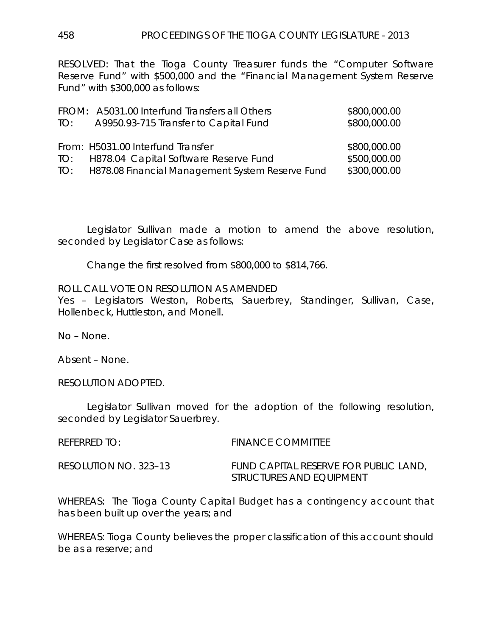RESOLVED: That the Tioga County Treasurer funds the "Computer Software Reserve Fund" with \$500,000 and the "Financial Management System Reserve Fund" with \$300,000 as follows:

|     | FROM: A5031.00 Interfund Transfers all Others        | \$800,000.00 |
|-----|------------------------------------------------------|--------------|
| TO: | A9950.93-715 Transfer to Capital Fund                | \$800,000.00 |
|     |                                                      |              |
|     | From: H5031.00 Interfund Transfer                    | \$800,000.00 |
|     | TO: H878.04 Capital Software Reserve Fund            | \$500,000.00 |
|     | TO: H878.08 Financial Management System Reserve Fund | \$300,000.00 |

Legislator Sullivan made a motion to amend the above resolution, seconded by Legislator Case as follows:

Change the first resolved from \$800,000 to \$814,766.

ROLL CALL VOTE ON RESOLUTION AS AMENDED

Yes – Legislators Weston, Roberts, Sauerbrey, Standinger, Sullivan, Case, Hollenbeck, Huttleston, and Monell.

No – None.

Absent – None.

RESOLUTION ADOPTED.

Legislator Sullivan moved for the adoption of the following resolution, seconded by Legislator Sauerbrey.

| REFERRED TO:          | <b>FINANCE COMMITTEE</b>              |
|-----------------------|---------------------------------------|
| RESOLUTION NO. 323–13 | FUND CAPITAL RESERVE FOR PUBLIC LAND, |
|                       | STRUCTURES AND EQUIPMENT              |

WHEREAS: The Tioga County Capital Budget has a contingency account that has been built up over the years; and

WHEREAS: Tioga County believes the proper classification of this account should be as a reserve; and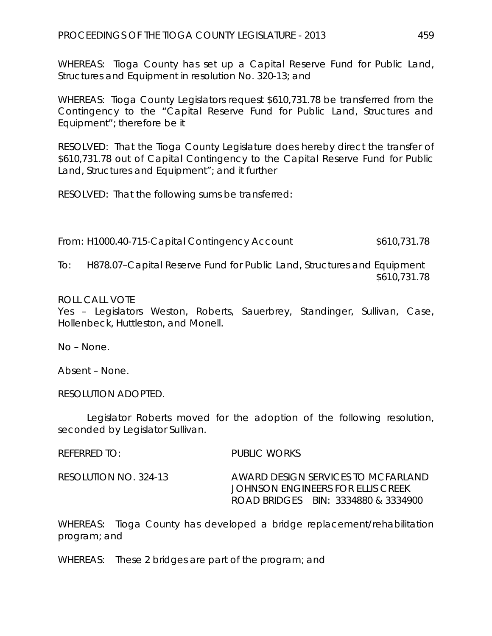WHEREAS: Tioga County has set up a Capital Reserve Fund for Public Land, Structures and Equipment in resolution No. 320-13; and

WHEREAS: Tioga County Legislators request \$610,731.78 be transferred from the Contingency to the "Capital Reserve Fund for Public Land, Structures and Equipment"; therefore be it

RESOLVED: That the Tioga County Legislature does hereby direct the transfer of \$610,731.78 out of Capital Contingency to the Capital Reserve Fund for Public Land, Structures and Equipment"; and it further

RESOLVED: That the following sums be transferred:

From: H1000.40-715-Capital Contingency Account \$610,731.78

To: H878.07–Capital Reserve Fund for Public Land, Structures and Equipment \$610,731.78

## ROLL CALL VOTE

Yes – Legislators Weston, Roberts, Sauerbrey, Standinger, Sullivan, Case, Hollenbeck, Huttleston, and Monell.

No – None.

Absent – None.

RESOLUTION ADOPTED.

Legislator Roberts moved for the adoption of the following resolution, seconded by Legislator Sullivan.

REFERRED TO: PUBLIC WORKS

RESOLUTION NO. 324-13 *AWARD DESIGN SERVICES TO MCFARLAND JOHNSON ENGINEERS FOR ELLIS CREEK ROAD BRIDGES BIN: 3334880 & 3334900* 

WHEREAS: Tioga County has developed a bridge replacement/rehabilitation program; and

WHEREAS: These 2 bridges are part of the program; and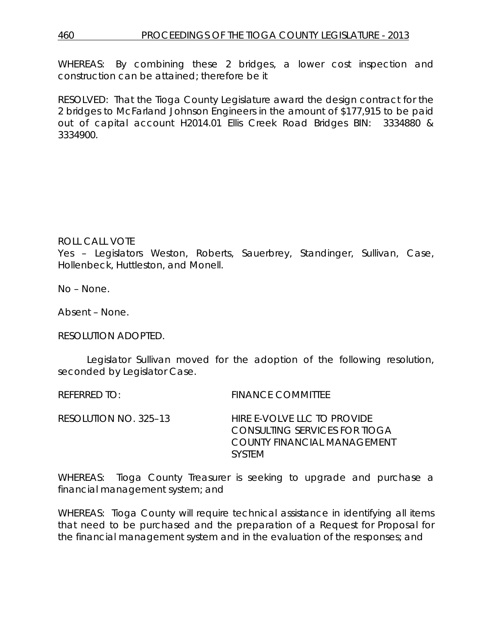WHEREAS: By combining these 2 bridges, a lower cost inspection and construction can be attained; therefore be it

RESOLVED: That the Tioga County Legislature award the design contract for the 2 bridges to McFarland Johnson Engineers in the amount of \$177,915 to be paid out of capital account H2014.01 Ellis Creek Road Bridges BIN: 3334880 & 3334900.

#### ROLL CALL VOTE

Yes – Legislators Weston, Roberts, Sauerbrey, Standinger, Sullivan, Case, Hollenbeck, Huttleston, and Monell.

No – None.

Absent – None.

RESOLUTION ADOPTED.

Legislator Sullivan moved for the adoption of the following resolution, seconded by Legislator Case.

REFERRED TO: FINANCE COMMITTEE

RESOLUTION NO. 325–13 *HIRE E-VOLVE LLC TO PROVIDE CONSULTING SERVICES FOR TIOGA COUNTY FINANCIAL MANAGEMENT SYSTEM*

WHEREAS: Tioga County Treasurer is seeking to upgrade and purchase a financial management system; and

WHEREAS: Tioga County will require technical assistance in identifying all items that need to be purchased and the preparation of a Request for Proposal for the financial management system and in the evaluation of the responses; and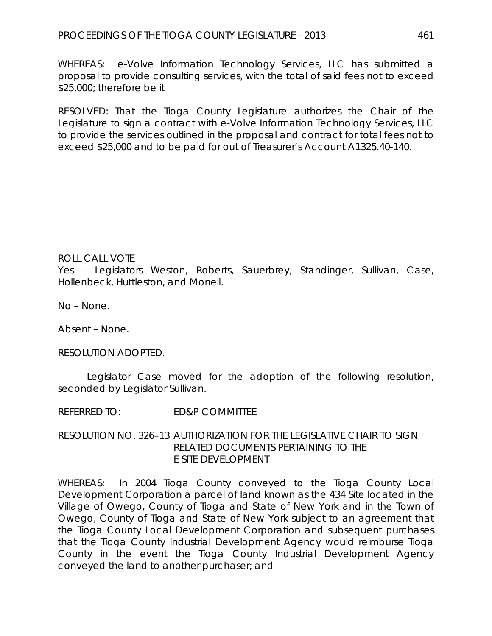WHEREAS: e-Volve Information Technology Services, LLC has submitted a proposal to provide consulting services, with the total of said fees not to exceed \$25,000; therefore be it

RESOLVED: That the Tioga County Legislature authorizes the Chair of the Legislature to sign a contract with e-Volve Information Technology Services, LLC to provide the services outlined in the proposal and contract for total fees not to exceed \$25,000 and to be paid for out of Treasurer's Account A1325.40-140.

## ROLL CALL VOTE

Yes – Legislators Weston, Roberts, Sauerbrey, Standinger, Sullivan, Case, Hollenbeck, Huttleston, and Monell.

No – None.

Absent – None.

RESOLUTION ADOPTED.

Legislator Case moved for the adoption of the following resolution, seconded by Legislator Sullivan.

REFERRED TO: ED&P COMMITTEE

RESOLUTION NO. 326–13 *AUTHORIZATION FOR THE LEGISLATIVE CHAIR TO SIGN RELATED DOCUMENTS PERTAINING TO THE E SITE DEVELOPMENT* 

WHEREAS: In 2004 Tioga County conveyed to the Tioga County Local Development Corporation a parcel of land known as the 434 Site located in the Village of Owego, County of Tioga and State of New York and in the Town of Owego, County of Tioga and State of New York subject to an agreement that the Tioga County Local Development Corporation and subsequent purchases that the Tioga County Industrial Development Agency would reimburse Tioga County in the event the Tioga County Industrial Development Agency conveyed the land to another purchaser; and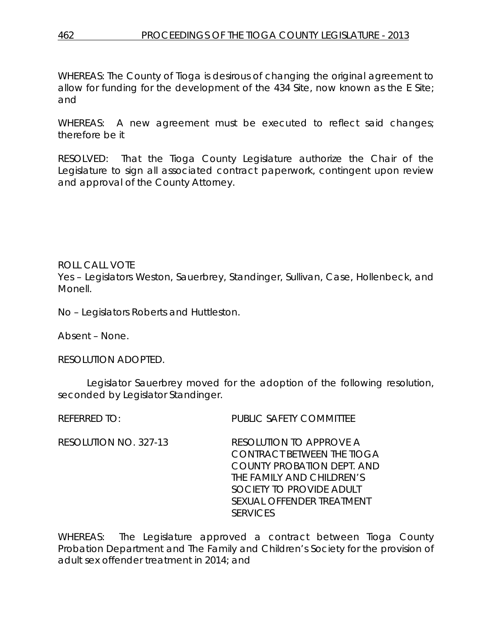WHEREAS: The County of Tioga is desirous of changing the original agreement to allow for funding for the development of the 434 Site, now known as the E Site; and

WHEREAS: A new agreement must be executed to reflect said changes; therefore be it

RESOLVED: That the Tioga County Legislature authorize the Chair of the Legislature to sign all associated contract paperwork, contingent upon review and approval of the County Attorney.

ROLL CALL VOTE Yes – Legislators Weston, Sauerbrey, Standinger, Sullivan, Case, Hollenbeck, and Monell.

No – Legislators Roberts and Huttleston.

Absent – None.

RESOLUTION ADOPTED.

Legislator Sauerbrey moved for the adoption of the following resolution, seconded by Legislator Standinger.

REFERRED TO: PUBLIC SAFETY COMMITTEE

RESOLUTION NO. 327-13 *RESOLUTION TO APPROVE A CONTRACT BETWEEN THE TIOGA COUNTY PROBATION DEPT. AND THE FAMILY AND CHILDREN'S SOCIETY TO PROVIDE ADULT SEXUAL OFFENDER TREATMENT SERVICES*

WHEREAS: The Legislature approved a contract between Tioga County Probation Department and The Family and Children's Society for the provision of adult sex offender treatment in 2014; and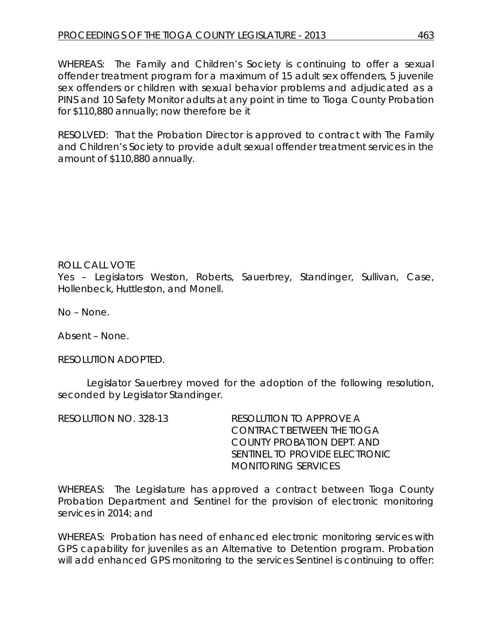WHEREAS: The Family and Children's Society is continuing to offer a sexual offender treatment program for a maximum of 15 adult sex offenders, 5 juvenile sex offenders or children with sexual behavior problems and adjudicated as a PINS and 10 Safety Monitor adults at any point in time to Tioga County Probation for \$110,880 annually; now therefore be it

RESOLVED: That the Probation Director is approved to contract with The Family and Children's Society to provide adult sexual offender treatment services in the amount of \$110,880 annually.

ROLL CALL VOTE Yes – Legislators Weston, Roberts, Sauerbrey, Standinger, Sullivan, Case, Hollenbeck, Huttleston, and Monell.

No – None.

Absent – None.

RESOLUTION ADOPTED.

Legislator Sauerbrey moved for the adoption of the following resolution, seconded by Legislator Standinger.

| RESOLUTION NO. 328-13 | RESOLUTION TO APPROVE A        |
|-----------------------|--------------------------------|
|                       | CONTRACT BETWEEN THE TIOGA     |
|                       | COUNTY PROBATION DEPT. AND     |
|                       | SENTINEL TO PROVIDE ELECTRONIC |
|                       | MONITORING SERVICES            |

WHEREAS: The Legislature has approved a contract between Tioga County Probation Department and Sentinel for the provision of electronic monitoring services in 2014; and

WHEREAS: Probation has need of enhanced electronic monitoring services with GPS capability for juveniles as an Alternative to Detention program. Probation will add enhanced GPS monitoring to the services Sentinel is continuing to offer: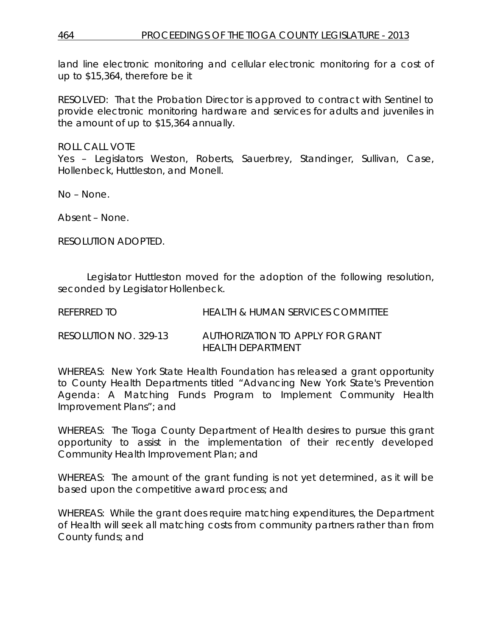land line electronic monitoring and cellular electronic monitoring for a cost of up to \$15,364, therefore be it

RESOLVED: That the Probation Director is approved to contract with Sentinel to provide electronic monitoring hardware and services for adults and juveniles in the amount of up to \$15,364 annually.

ROLL CALL VOTE

Yes – Legislators Weston, Roberts, Sauerbrey, Standinger, Sullivan, Case, Hollenbeck, Huttleston, and Monell.

No – None.

Absent – None.

RESOLUTION ADOPTED.

Legislator Huttleston moved for the adoption of the following resolution, seconded by Legislator Hollenbeck.

| referred to           | <b>HEALTH &amp; HUMAN SERVICES COMMITTEE</b> |
|-----------------------|----------------------------------------------|
| RESOLUTION NO. 329-13 | AUTHORIZATION TO APPLY FOR GRANT             |
|                       | HEALTH DEPARTMENT                            |

WHEREAS: New York State Health Foundation has released a grant opportunity to County Health Departments titled "Advancing New York State's Prevention Agenda: A Matching Funds Program to Implement Community Health Improvement Plans"; and

WHEREAS: The Tioga County Department of Health desires to pursue this grant opportunity to assist in the implementation of their recently developed Community Health Improvement Plan; and

WHEREAS: The amount of the grant funding is not yet determined, as it will be based upon the competitive award process; and

WHEREAS: While the grant does require matching expenditures, the Department of Health will seek all matching costs from community partners rather than from County funds; and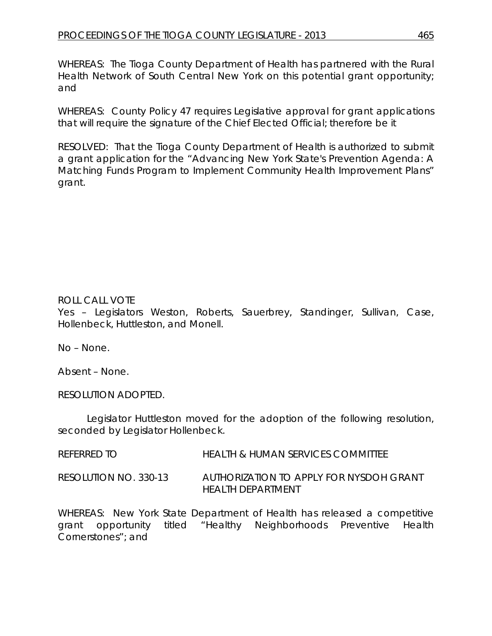WHEREAS: The Tioga County Department of Health has partnered with the Rural Health Network of South Central New York on this potential grant opportunity; and

WHEREAS: County Policy 47 requires Legislative approval for grant applications that will require the signature of the Chief Elected Official; therefore be it

RESOLVED: That the Tioga County Department of Health is authorized to submit a grant application for the "Advancing New York State's Prevention Agenda: A Matching Funds Program to Implement Community Health Improvement Plans" grant.

# ROLL CALL VOTE

Yes – Legislators Weston, Roberts, Sauerbrey, Standinger, Sullivan, Case, Hollenbeck, Huttleston, and Monell.

No – None.

Absent – None.

RESOLUTION ADOPTED.

Legislator Huttleston moved for the adoption of the following resolution, seconded by Legislator Hollenbeck.

REFERRED TO HEALTH & HUMAN SERVICES COMMITTEE

RESOLUTION NO. 330-13 *AUTHORIZATION TO APPLY FOR NYSDOH GRANT HEALTH DEPARTMENT*

WHEREAS: New York State Department of Health has released a competitive grant opportunity titled "Healthy Neighborhoods Preventive Health Cornerstones"; and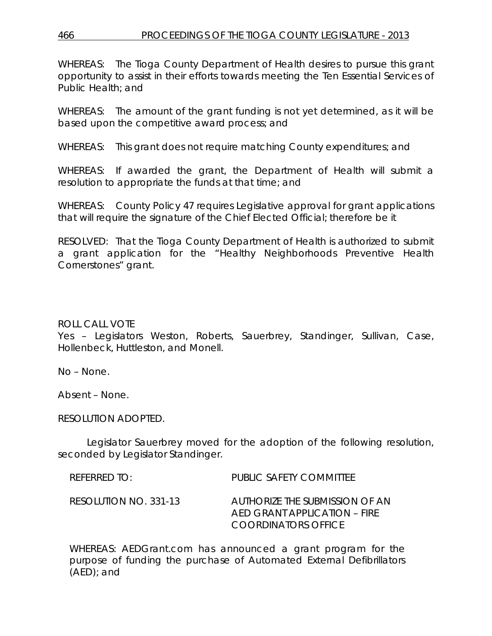WHEREAS: The Tioga County Department of Health desires to pursue this grant opportunity to assist in their efforts towards meeting the Ten Essential Services of Public Health; and

WHEREAS: The amount of the grant funding is not yet determined, as it will be based upon the competitive award process; and

WHEREAS: This grant does not require matching County expenditures; and

WHEREAS: If awarded the grant, the Department of Health will submit a resolution to appropriate the funds at that time; and

WHEREAS: County Policy 47 requires Legislative approval for grant applications that will require the signature of the Chief Elected Official; therefore be it

RESOLVED: That the Tioga County Department of Health is authorized to submit a grant application for the "Healthy Neighborhoods Preventive Health Cornerstones" grant.

## ROLL CALL VOTE

Yes – Legislators Weston, Roberts, Sauerbrey, Standinger, Sullivan, Case, Hollenbeck, Huttleston, and Monell.

No – None.

Absent – None.

RESOLUTION ADOPTED.

Legislator Sauerbrey moved for the adoption of the following resolution, seconded by Legislator Standinger.

| $R$ FFFRRFD TO:       | PUBLIC SAFETY COMMITTEE                                                               |
|-----------------------|---------------------------------------------------------------------------------------|
| RESOLUTION NO. 331-13 | AUTHORIZE THE SUBMISSION OF AN<br>AFD GRANT APPLICATION – FIRE<br>COORDINATORS OFFICE |

WHEREAS: AEDGrant.com has announced a grant program for the purpose of funding the purchase of Automated External Defibrillators (AED); and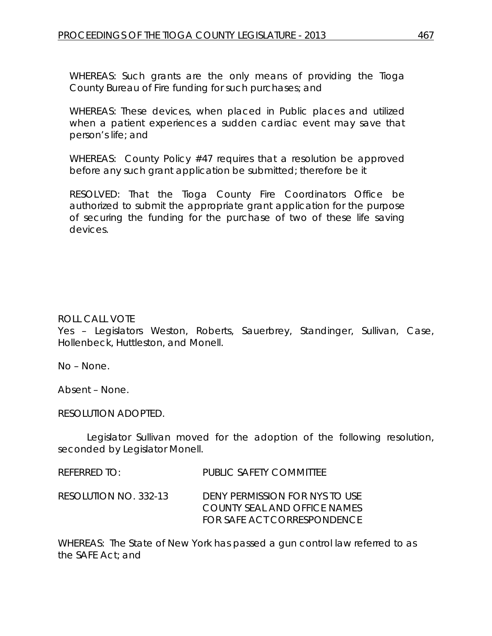WHEREAS: Such grants are the only means of providing the Tioga County Bureau of Fire funding for such purchases; and

WHEREAS: These devices, when placed in Public places and utilized when a patient experiences a sudden cardiac event may save that person's life; and

WHEREAS: County Policy #47 requires that a resolution be approved before any such grant application be submitted; therefore be it

RESOLVED: That the Tioga County Fire Coordinators Office be authorized to submit the appropriate grant application for the purpose of securing the funding for the purchase of two of these life saving devices.

#### ROLL CALL VOTE

Yes – Legislators Weston, Roberts, Sauerbrey, Standinger, Sullivan, Case, Hollenbeck, Huttleston, and Monell.

No – None.

Absent – None.

RESOLUTION ADOPTED.

Legislator Sullivan moved for the adoption of the following resolution, seconded by Legislator Monell.

| referred to:          | PUBLIC SAFETY COMMITTEE                                                                              |
|-----------------------|------------------------------------------------------------------------------------------------------|
| RESOLUTION NO. 332-13 | DENY PERMISSION FOR NYS TO USE<br>COUNTY SEAL AND OFFICE NAMES<br><b>FOR SAFE ACT CORRESPONDENCE</b> |

WHEREAS: The State of New York has passed a gun control law referred to as the SAFE Act; and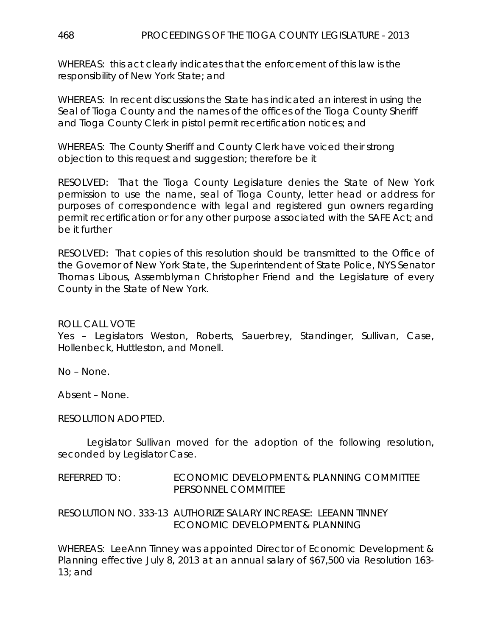WHEREAS: this act clearly indicates that the enforcement of this law is the responsibility of New York State; and

WHEREAS: In recent discussions the State has indicated an interest in using the Seal of Tioga County and the names of the offices of the Tioga County Sheriff and Tioga County Clerk in pistol permit recertification notices; and

WHEREAS: The County Sheriff and County Clerk have voiced their strong objection to this request and suggestion; therefore be it

RESOLVED: That the Tioga County Legislature denies the State of New York permission to use the name, seal of Tioga County, letter head or address for purposes of correspondence with legal and registered gun owners regarding permit recertification or for any other purpose associated with the SAFE Act; and be it further

RESOLVED: That copies of this resolution should be transmitted to the Office of the Governor of New York State, the Superintendent of State Police, NYS Senator Thomas Libous, Assemblyman Christopher Friend and the Legislature of every County in the State of New York.

## ROLL CALL VOTE

Yes – Legislators Weston, Roberts, Sauerbrey, Standinger, Sullivan, Case, Hollenbeck, Huttleston, and Monell.

No – None.

Absent – None.

#### RESOLUTION ADOPTED.

Legislator Sullivan moved for the adoption of the following resolution, seconded by Legislator Case.

REFERRED TO: ECONOMIC DEVELOPMENT & PLANNING COMMITTEE PERSONNEL COMMITTEE

RESOLUTION NO. 333-13 *AUTHORIZE SALARY INCREASE: LEEANN TINNEY ECONOMIC DEVELOPMENT & PLANNING*

WHEREAS: LeeAnn Tinney was appointed Director of Economic Development & Planning effective July 8, 2013 at an annual salary of \$67,500 via Resolution 163-  $13:$  and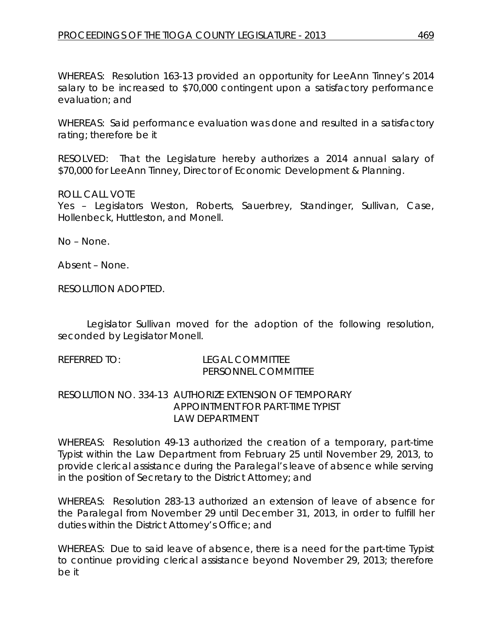WHEREAS: Resolution 163-13 provided an opportunity for LeeAnn Tinney's 2014 salary to be increased to \$70,000 contingent upon a satisfactory performance evaluation; and

WHEREAS: Said performance evaluation was done and resulted in a satisfactory rating; therefore be it

RESOLVED: That the Legislature hereby authorizes a 2014 annual salary of \$70,000 for LeeAnn Tinney, Director of Economic Development & Planning.

#### ROLL CALL VOTE

Yes – Legislators Weston, Roberts, Sauerbrey, Standinger, Sullivan, Case, Hollenbeck, Huttleston, and Monell.

No – None.

Absent – None.

RESOLUTION ADOPTED.

Legislator Sullivan moved for the adoption of the following resolution, seconded by Legislator Monell.

| REFERRED TO: | TEGAL COMMITTEE<br>PERSONNEL COMMITTEE                  |  |  |
|--------------|---------------------------------------------------------|--|--|
|              | RESOLUTION NO. 334-13. AUTHORIZE EXTENSION OF TEMPORARY |  |  |

# *APPOINTMENT FOR PART-TIME TYPIST LAW DEPARTMENT*

WHEREAS: Resolution 49-13 authorized the creation of a temporary, part-time Typist within the Law Department from February 25 until November 29, 2013, to provide clerical assistance during the Paralegal's leave of absence while serving in the position of Secretary to the District Attorney; and

WHEREAS: Resolution 283-13 authorized an extension of leave of absence for the Paralegal from November 29 until December 31, 2013, in order to fulfill her duties within the District Attorney's Office; and

WHEREAS: Due to said leave of absence, there is a need for the part-time Typist to continue providing clerical assistance beyond November 29, 2013; therefore be it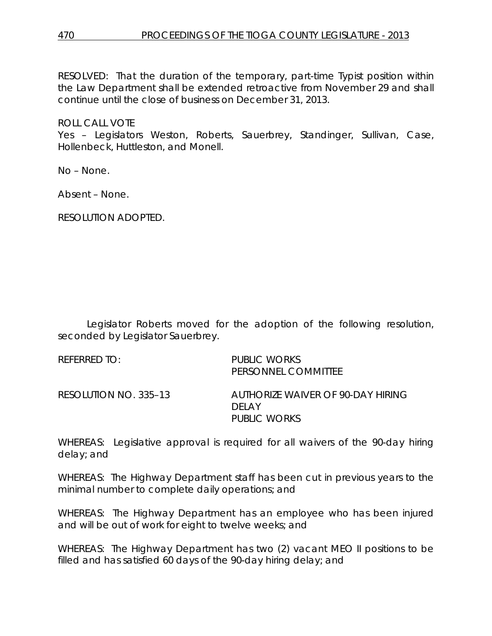RESOLVED: That the duration of the temporary, part-time Typist position within the Law Department shall be extended retroactive from November 29 and shall continue until the close of business on December 31, 2013.

ROLL CALL VOTE

Yes – Legislators Weston, Roberts, Sauerbrey, Standinger, Sullivan, Case, Hollenbeck, Huttleston, and Monell.

No – None.

Absent – None.

RESOLUTION ADOPTED.

Legislator Roberts moved for the adoption of the following resolution, seconded by Legislator Sauerbrey.

REFERRED TO: PUBLIC WORKS PERSONNEL COMMITTEE RESOLUTION NO. 335–13 *AUTHORIZE WAIVER OF 90-DAY HIRING DELAY PUBLIC WORKS*

WHEREAS: Legislative approval is required for all waivers of the 90-day hiring delay; and

WHEREAS: The Highway Department staff has been cut in previous years to the minimal number to complete daily operations; and

WHEREAS: The Highway Department has an employee who has been injured and will be out of work for eight to twelve weeks; and

WHEREAS: The Highway Department has two (2) vacant MEO II positions to be filled and has satisfied 60 days of the 90-day hiring delay; and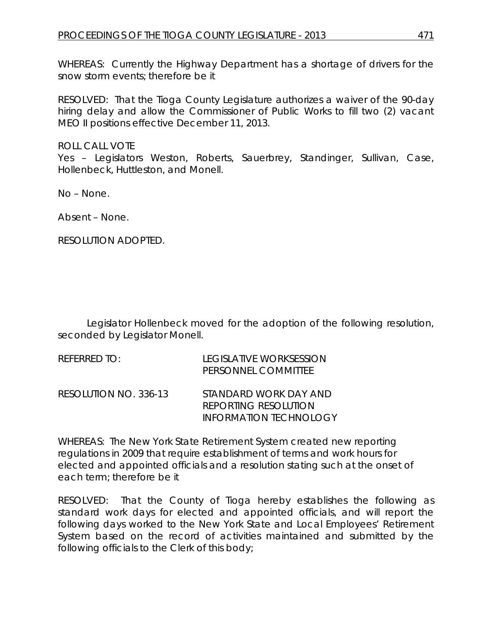WHEREAS: Currently the Highway Department has a shortage of drivers for the snow storm events; therefore be it

RESOLVED: That the Tioga County Legislature authorizes a waiver of the 90-day hiring delay and allow the Commissioner of Public Works to fill two (2) vacant MEO II positions effective December 11, 2013.

ROLL CALL VOTE

Yes – Legislators Weston, Roberts, Sauerbrey, Standinger, Sullivan, Case, Hollenbeck, Huttleston, and Monell.

No – None.

Absent – None.

RESOLUTION ADOPTED.

Legislator Hollenbeck moved for the adoption of the following resolution, seconded by Legislator Monell.

| $R$ FFFRRFD TO:       | LEGISLATIVE WORKSESSION<br>PERSONNEL COMMITTEE                          |
|-----------------------|-------------------------------------------------------------------------|
| RESOLUTION NO. 336-13 | STANDARD WORK DAY AND<br>REPORTING RESOLUTION<br>INFORMATION TECHNOLOGY |

WHEREAS: The New York State Retirement System created new reporting regulations in 2009 that require establishment of terms and work hours for elected and appointed officials and a resolution stating such at the onset of each term; therefore be it

RESOLVED: That the County of Tioga hereby establishes the following as standard work days for elected and appointed officials, and will report the following days worked to the New York State and Local Employees' Retirement System based on the record of activities maintained and submitted by the following officials to the Clerk of this body;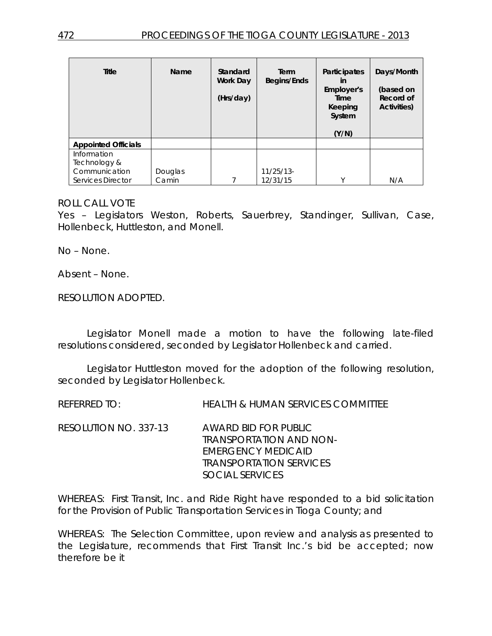| <b>Title</b>               | Name    | Standard<br>Work Day<br>(Hrs/day) | Term<br>Begins/Ends | <b>Participates</b><br>in<br>Employer's<br>Time<br>Keeping<br>System<br>(Y/N) | Days/Month<br>(based on<br>Record of<br>Activities) |
|----------------------------|---------|-----------------------------------|---------------------|-------------------------------------------------------------------------------|-----------------------------------------------------|
| <b>Appointed Officials</b> |         |                                   |                     |                                                                               |                                                     |
| Information                |         |                                   |                     |                                                                               |                                                     |
| Technology &               |         |                                   |                     |                                                                               |                                                     |
| Communication              | Douglas |                                   | $11/25/13$ -        |                                                                               |                                                     |
| Services Director          | Camin   |                                   | 12/31/15            | $\checkmark$                                                                  | N/A                                                 |

#### ROLL CALL VOTE

Yes – Legislators Weston, Roberts, Sauerbrey, Standinger, Sullivan, Case, Hollenbeck, Huttleston, and Monell.

No – None.

Absent – None.

RESOLUTION ADOPTED.

Legislator Monell made a motion to have the following late-filed resolutions considered, seconded by Legislator Hollenbeck and carried.

Legislator Huttleston moved for the adoption of the following resolution, seconded by Legislator Hollenbeck.

REFERRED TO: HEALTH & HUMAN SERVICES COMMITTEE

RESOLUTION NO. 337-13 *AWARD BID FOR PUBLIC TRANSPORTATION AND NON-EMERGENCY MEDICAID TRANSPORTATION SERVICES SOCIAL SERVICES*

WHEREAS: First Transit, Inc. and Ride Right have responded to a bid solicitation for the Provision of Public Transportation Services in Tioga County; and

WHEREAS: The Selection Committee, upon review and analysis as presented to the Legislature, recommends that First Transit Inc.'s bid be accepted; now therefore be it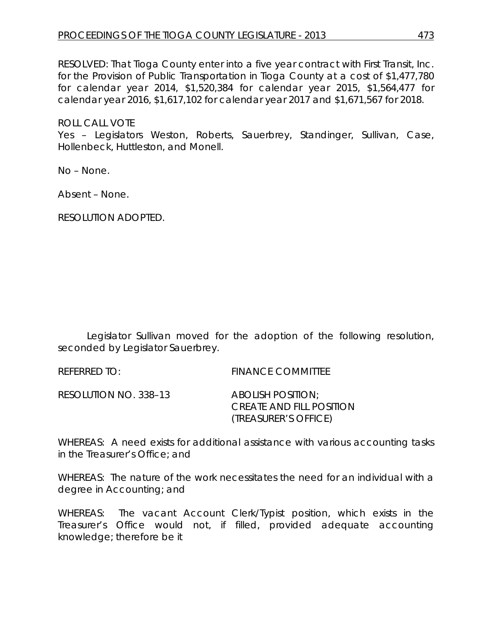RESOLVED: That Tioga County enter into a five year contract with First Transit, Inc. for the Provision of Public Transportation in Tioga County at a cost of \$1,477,780 for calendar year 2014, \$1,520,384 for calendar year 2015, \$1,564,477 for calendar year 2016, \$1,617,102 for calendar year 2017 and \$1,671,567 for 2018.

ROLL CALL VOTE

Yes – Legislators Weston, Roberts, Sauerbrey, Standinger, Sullivan, Case, Hollenbeck, Huttleston, and Monell.

No – None.

Absent – None.

RESOLUTION ADOPTED.

Legislator Sullivan moved for the adoption of the following resolution, seconded by Legislator Sauerbrey.

REFERRED TO: FINANCE COMMITTEE

RESOLUTION NO. 338–13 *ABOLISH POSITION;*

*CREATE AND FILL POSITION (TREASURER'S OFFICE)*

WHEREAS: A need exists for additional assistance with various accounting tasks in the Treasurer's Office; and

WHEREAS: The nature of the work necessitates the need for an individual with a degree in Accounting; and

WHEREAS: The vacant Account Clerk/Typist position, which exists in the Treasurer's Office would not, if filled, provided adequate accounting knowledge; therefore be it